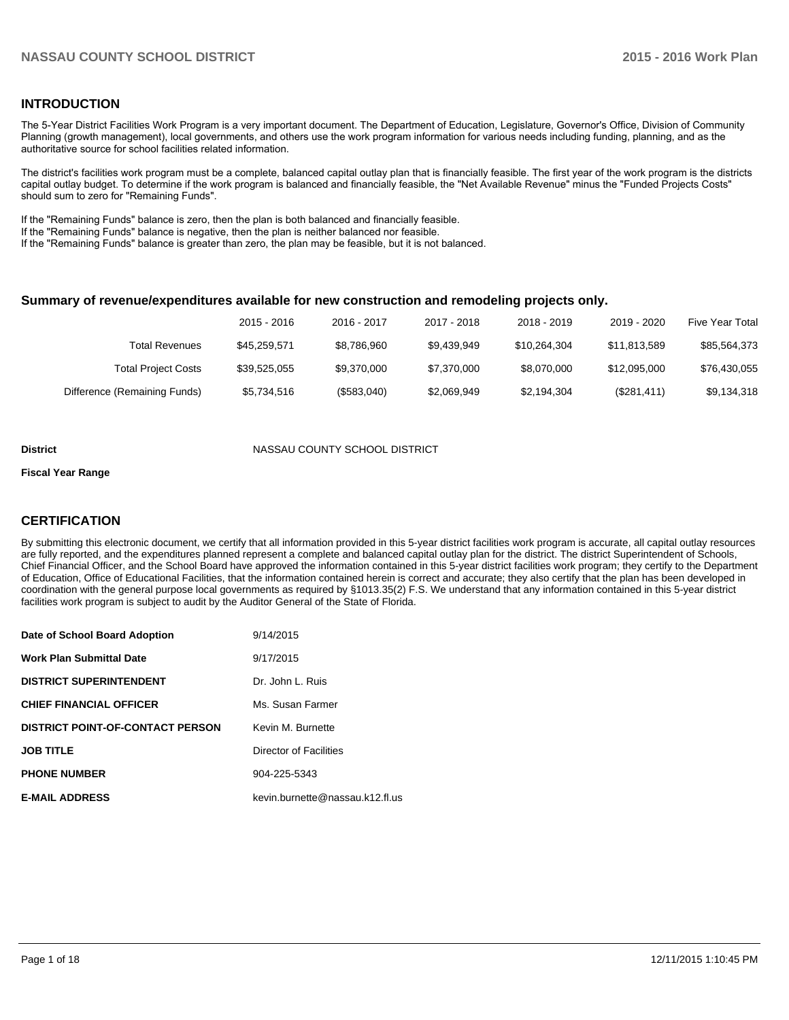## **INTRODUCTION**

The 5-Year District Facilities Work Program is a very important document. The Department of Education, Legislature, Governor's Office, Division of Community Planning (growth management), local governments, and others use the work program information for various needs including funding, planning, and as the authoritative source for school facilities related information.

The district's facilities work program must be a complete, balanced capital outlay plan that is financially feasible. The first year of the work program is the districts capital outlay budget. To determine if the work program is balanced and financially feasible, the "Net Available Revenue" minus the "Funded Projects Costs" should sum to zero for "Remaining Funds".

If the "Remaining Funds" balance is zero, then the plan is both balanced and financially feasible.

If the "Remaining Funds" balance is negative, then the plan is neither balanced nor feasible.

If the "Remaining Funds" balance is greater than zero, the plan may be feasible, but it is not balanced.

#### **Summary of revenue/expenditures available for new construction and remodeling projects only.**

|                              | 2015 - 2016  | 2016 - 2017 | 2017 - 2018 | 2018 - 2019  | 2019 - 2020  | Five Year Total |
|------------------------------|--------------|-------------|-------------|--------------|--------------|-----------------|
| <b>Total Revenues</b>        | \$45.259.571 | \$8.786.960 | \$9.439.949 | \$10.264.304 | \$11.813.589 | \$85,564,373    |
| <b>Total Project Costs</b>   | \$39,525,055 | \$9,370,000 | \$7.370.000 | \$8.070.000  | \$12.095.000 | \$76,430,055    |
| Difference (Remaining Funds) | \$5,734,516  | (\$583,040) | \$2,069,949 | \$2,194,304  | (\$281,411)  | \$9,134,318     |

#### **District COUNTY SCHOOL DISTRICT**

#### **Fiscal Year Range**

## **CERTIFICATION**

By submitting this electronic document, we certify that all information provided in this 5-year district facilities work program is accurate, all capital outlay resources are fully reported, and the expenditures planned represent a complete and balanced capital outlay plan for the district. The district Superintendent of Schools, Chief Financial Officer, and the School Board have approved the information contained in this 5-year district facilities work program; they certify to the Department of Education, Office of Educational Facilities, that the information contained herein is correct and accurate; they also certify that the plan has been developed in coordination with the general purpose local governments as required by §1013.35(2) F.S. We understand that any information contained in this 5-year district facilities work program is subject to audit by the Auditor General of the State of Florida.

| Date of School Board Adoption           | 9/14/2015                       |
|-----------------------------------------|---------------------------------|
| <b>Work Plan Submittal Date</b>         | 9/17/2015                       |
| <b>DISTRICT SUPERINTENDENT</b>          | Dr. John L. Ruis                |
| <b>CHIEF FINANCIAL OFFICER</b>          | Ms. Susan Farmer                |
| <b>DISTRICT POINT-OF-CONTACT PERSON</b> | Kevin M. Burnette               |
| <b>JOB TITLE</b>                        | Director of Facilities          |
| <b>PHONE NUMBER</b>                     | 904-225-5343                    |
| <b>E-MAIL ADDRESS</b>                   | kevin.burnette@nassau.k12.fl.us |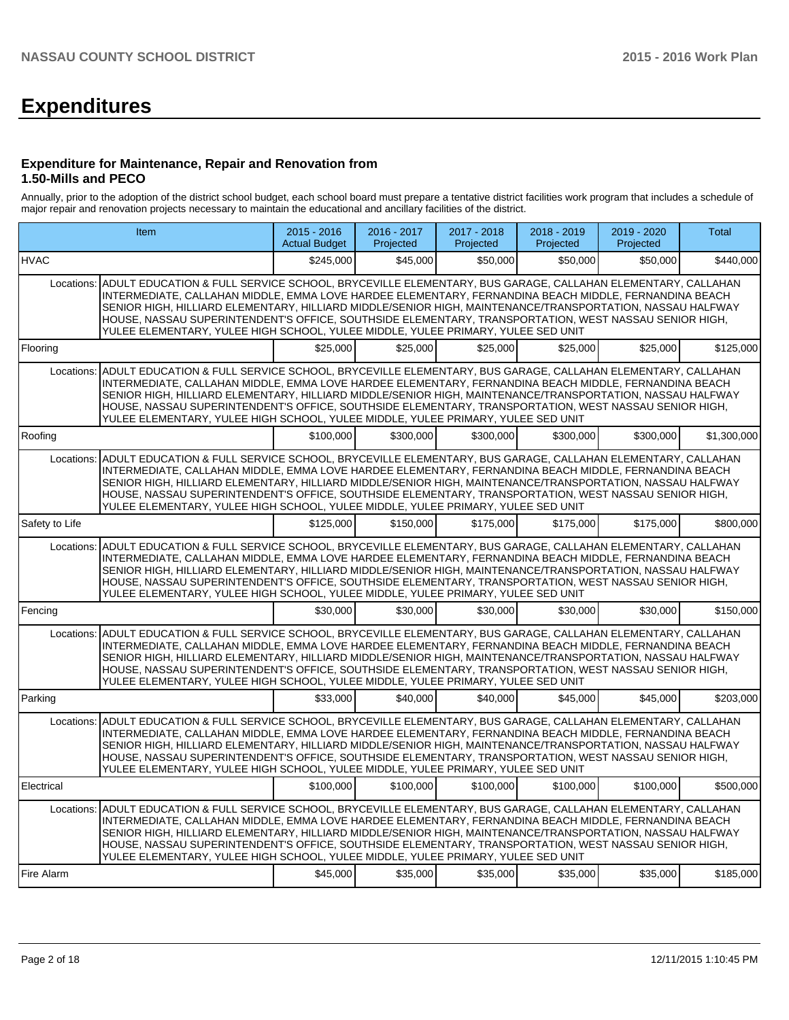# **Expenditures**

#### **Expenditure for Maintenance, Repair and Renovation from 1.50-Mills and PECO**

Annually, prior to the adoption of the district school budget, each school board must prepare a tentative district facilities work program that includes a schedule of major repair and renovation projects necessary to maintain the educational and ancillary facilities of the district.

|                | <b>Item</b>                                                                                                                                                                                                                                                                                                                                                                                                                                                                                                                           |           | $2016 - 2017$<br>Projected | 2017 - 2018<br>Projected | 2018 - 2019<br>Projected | 2019 - 2020<br>Projected | Total       |
|----------------|---------------------------------------------------------------------------------------------------------------------------------------------------------------------------------------------------------------------------------------------------------------------------------------------------------------------------------------------------------------------------------------------------------------------------------------------------------------------------------------------------------------------------------------|-----------|----------------------------|--------------------------|--------------------------|--------------------------|-------------|
| <b>HVAC</b>    |                                                                                                                                                                                                                                                                                                                                                                                                                                                                                                                                       | \$245,000 | \$45,000                   | \$50,000                 | \$50,000                 | \$50,000                 | \$440,000   |
| Locations:     | ADULT EDUCATION & FULL SERVICE SCHOOL, BRYCEVILLE ELEMENTARY, BUS GARAGE, CALLAHAN ELEMENTARY, CALLAHAN<br>INTERMEDIATE, CALLAHAN MIDDLE, EMMA LOVE HARDEE ELEMENTARY, FERNANDINA BEACH MIDDLE, FERNANDINA BEACH<br>SENIOR HIGH. HILLIARD ELEMENTARY. HILLIARD MIDDLE/SENIOR HIGH. MAINTENANCE/TRANSPORTATION. NASSAU HALFWAY<br>HOUSE, NASSAU SUPERINTENDENT'S OFFICE, SOUTHSIDE ELEMENTARY, TRANSPORTATION, WEST NASSAU SENIOR HIGH,<br>YULEE ELEMENTARY, YULEE HIGH SCHOOL, YULEE MIDDLE, YULEE PRIMARY, YULEE SED UNIT            |           |                            |                          |                          |                          |             |
| Flooring       |                                                                                                                                                                                                                                                                                                                                                                                                                                                                                                                                       | \$25,000  | \$25,000                   | \$25,000                 | \$25,000                 | \$25,000                 | \$125,000   |
| Locations:     | ADULT EDUCATION & FULL SERVICE SCHOOL, BRYCEVILLE ELEMENTARY, BUS GARAGE, CALLAHAN ELEMENTARY, CALLAHAN<br>INTERMEDIATE, CALLAHAN MIDDLE, EMMA LOVE HARDEE ELEMENTARY, FERNANDINA BEACH MIDDLE, FERNANDINA BEACH<br>SENIOR HIGH, HILLIARD ELEMENTARY, HILLIARD MIDDLE/SENIOR HIGH, MAINTENANCE/TRANSPORTATION, NASSAU HALFWAY<br>HOUSE, NASSAU SUPERINTENDENT'S OFFICE, SOUTHSIDE ELEMENTARY, TRANSPORTATION, WEST NASSAU SENIOR HIGH,<br>YULEE ELEMENTARY, YULEE HIGH SCHOOL, YULEE MIDDLE, YULEE PRIMARY, YULEE SED UNIT            |           |                            |                          |                          |                          |             |
| Roofing        |                                                                                                                                                                                                                                                                                                                                                                                                                                                                                                                                       | \$100,000 | \$300,000                  | \$300,000                | \$300,000                | \$300,000                | \$1,300,000 |
| Locations:     | ADULT EDUCATION & FULL SERVICE SCHOOL, BRYCEVILLE ELEMENTARY, BUS GARAGE, CALLAHAN ELEMENTARY, CALLAHAN<br>INTERMEDIATE, CALLAHAN MIDDLE, EMMA LOVE HARDEE ELEMENTARY, FERNANDINA BEACH MIDDLE, FERNANDINA BEACH<br>SENIOR HIGH, HILLIARD ELEMENTARY, HILLIARD MIDDLE/SENIOR HIGH, MAINTENANCE/TRANSPORTATION, NASSAU HALFWAY<br>HOUSE, NASSAU SUPERINTENDENT'S OFFICE, SOUTHSIDE ELEMENTARY, TRANSPORTATION, WEST NASSAU SENIOR HIGH,<br>YULEE ELEMENTARY, YULEE HIGH SCHOOL, YULEE MIDDLE, YULEE PRIMARY, YULEE SED UNIT            |           |                            |                          |                          |                          |             |
| Safety to Life |                                                                                                                                                                                                                                                                                                                                                                                                                                                                                                                                       | \$125,000 | \$150,000                  | \$175,000                | \$175,000                | \$175,000                | \$800.000   |
| Locations:     | ADULT EDUCATION & FULL SERVICE SCHOOL, BRYCEVILLE ELEMENTARY, BUS GARAGE, CALLAHAN ELEMENTARY, CALLAHAN<br>INTERMEDIATE, CALLAHAN MIDDLE, EMMA LOVE HARDEE ELEMENTARY, FERNANDINA BEACH MIDDLE, FERNANDINA BEACH<br>SENIOR HIGH, HILLIARD ELEMENTARY, HILLIARD MIDDLE/SENIOR HIGH, MAINTENANCE/TRANSPORTATION, NASSAU HALFWAY<br>HOUSE, NASSAU SUPERINTENDENT'S OFFICE, SOUTHSIDE ELEMENTARY, TRANSPORTATION, WEST NASSAU SENIOR HIGH,<br>YULEE ELEMENTARY, YULEE HIGH SCHOOL, YULEE MIDDLE, YULEE PRIMARY, YULEE SED UNIT            |           |                            |                          |                          |                          |             |
| Fencing        |                                                                                                                                                                                                                                                                                                                                                                                                                                                                                                                                       | \$30,000  | \$30,000                   | \$30,000                 | \$30,000                 | \$30,000                 | \$150,000   |
| Locations:     | ADULT EDUCATION & FULL SERVICE SCHOOL, BRYCEVILLE ELEMENTARY, BUS GARAGE, CALLAHAN ELEMENTARY, CALLAHAN<br>INTERMEDIATE, CALLAHAN MIDDLE, EMMA LOVE HARDEE ELEMENTARY, FERNANDINA BEACH MIDDLE, FERNANDINA BEACH<br>SENIOR HIGH, HILLIARD ELEMENTARY, HILLIARD MIDDLE/SENIOR HIGH, MAINTENANCE/TRANSPORTATION, NASSAU HALFWAY<br>HOUSE, NASSAU SUPERINTENDENT'S OFFICE, SOUTHSIDE ELEMENTARY, TRANSPORTATION, WEST NASSAU SENIOR HIGH,<br>YULEE ELEMENTARY, YULEE HIGH SCHOOL, YULEE MIDDLE, YULEE PRIMARY, YULEE SED UNIT            |           |                            |                          |                          |                          |             |
| Parking        |                                                                                                                                                                                                                                                                                                                                                                                                                                                                                                                                       | \$33,000  | \$40,000                   | \$40,000                 | \$45,000                 | \$45,000                 | \$203,000   |
| Locations:     | ADULT EDUCATION & FULL SERVICE SCHOOL, BRYCEVILLE ELEMENTARY, BUS GARAGE, CALLAHAN ELEMENTARY, CALLAHAN<br>INTERMEDIATE, CALLAHAN MIDDLE, EMMA LOVE HARDEE ELEMENTARY, FERNANDINA BEACH MIDDLE, FERNANDINA BEACH<br>SENIOR HIGH, HILLIARD ELEMENTARY, HILLIARD MIDDLE/SENIOR HIGH, MAINTENANCE/TRANSPORTATION, NASSAU HALFWAY<br>HOUSE, NASSAU SUPERINTENDENT'S OFFICE, SOUTHSIDE ELEMENTARY, TRANSPORTATION, WEST NASSAU SENIOR HIGH,<br>YULEE ELEMENTARY, YULEE HIGH SCHOOL, YULEE MIDDLE, YULEE PRIMARY, YULEE SED UNIT            |           |                            |                          |                          |                          |             |
| Electrical     |                                                                                                                                                                                                                                                                                                                                                                                                                                                                                                                                       | \$100,000 | \$100,000                  | \$100,000                | \$100,000                | \$100,000                | \$500,000   |
|                | Locations: ADULT EDUCATION & FULL SERVICE SCHOOL, BRYCEVILLE ELEMENTARY, BUS GARAGE, CALLAHAN ELEMENTARY, CALLAHAN<br>INTERMEDIATE, CALLAHAN MIDDLE, EMMA LOVE HARDEE ELEMENTARY, FERNANDINA BEACH MIDDLE, FERNANDINA BEACH<br>SENIOR HIGH, HILLIARD ELEMENTARY, HILLIARD MIDDLE/SENIOR HIGH, MAINTENANCE/TRANSPORTATION, NASSAU HALFWAY<br>HOUSE, NASSAU SUPERINTENDENT'S OFFICE, SOUTHSIDE ELEMENTARY, TRANSPORTATION, WEST NASSAU SENIOR HIGH,<br>YULEE ELEMENTARY, YULEE HIGH SCHOOL, YULEE MIDDLE, YULEE PRIMARY, YULEE SED UNIT |           |                            |                          |                          |                          |             |
| Fire Alarm     |                                                                                                                                                                                                                                                                                                                                                                                                                                                                                                                                       | \$45,000  | \$35,000                   | \$35,000                 | \$35,000                 | \$35,000                 | \$185,000   |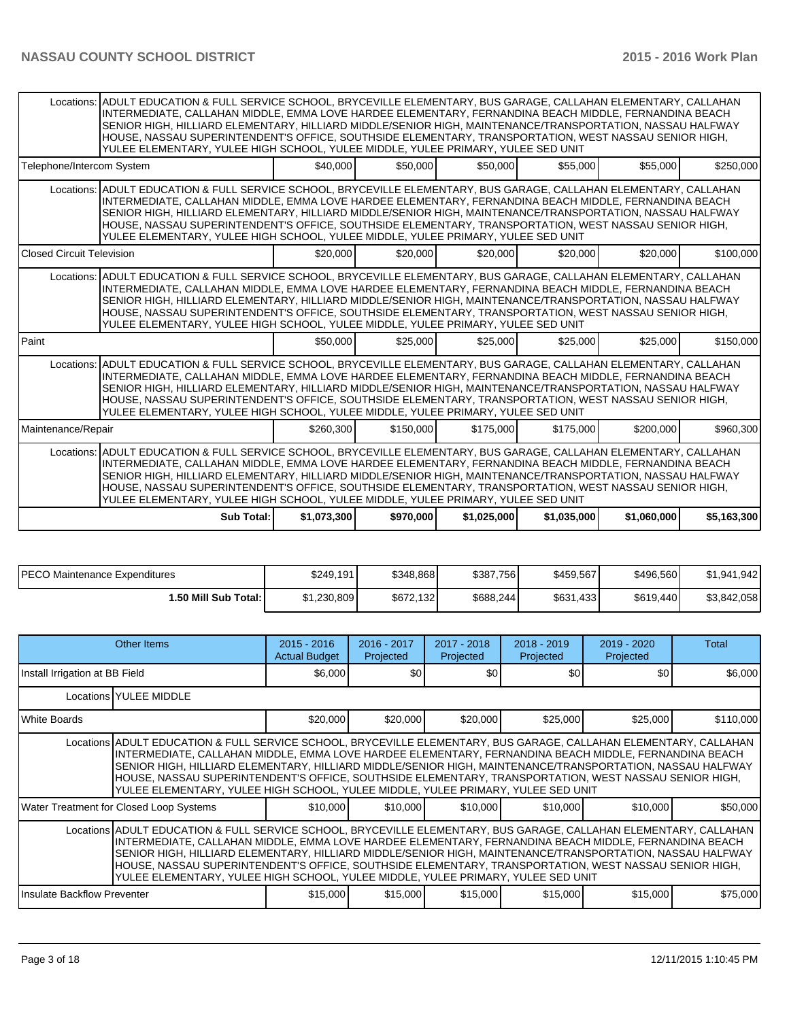|                                  | Locations: ADULT EDUCATION & FULL SERVICE SCHOOL, BRYCEVILLE ELEMENTARY, BUS GARAGE, CALLAHAN ELEMENTARY, CALLAHAN<br>INTERMEDIATE, CALLAHAN MIDDLE, EMMA LOVE HARDEE ELEMENTARY, FERNANDINA BEACH MIDDLE, FERNANDINA BEACH<br>SENIOR HIGH, HILLIARD ELEMENTARY, HILLIARD MIDDLE/SENIOR HIGH, MAINTENANCE/TRANSPORTATION, NASSAU HALFWAY<br>HOUSE, NASSAU SUPERINTENDENT'S OFFICE, SOUTHSIDE ELEMENTARY, TRANSPORTATION, WEST NASSAU SENIOR HIGH,<br>YULEE ELEMENTARY, YULEE HIGH SCHOOL, YULEE MIDDLE, YULEE PRIMARY, YULEE SED UNIT |             |           |             |             |             |             |
|----------------------------------|---------------------------------------------------------------------------------------------------------------------------------------------------------------------------------------------------------------------------------------------------------------------------------------------------------------------------------------------------------------------------------------------------------------------------------------------------------------------------------------------------------------------------------------|-------------|-----------|-------------|-------------|-------------|-------------|
| Telephone/Intercom System        |                                                                                                                                                                                                                                                                                                                                                                                                                                                                                                                                       | \$40,000    | \$50,000  | \$50,000    | \$55,000    | \$55,000    | \$250,000   |
|                                  | Locations: ADULT EDUCATION & FULL SERVICE SCHOOL, BRYCEVILLE ELEMENTARY, BUS GARAGE, CALLAHAN ELEMENTARY, CALLAHAN<br>INTERMEDIATE, CALLAHAN MIDDLE, EMMA LOVE HARDEE ELEMENTARY, FERNANDINA BEACH MIDDLE, FERNANDINA BEACH<br>SENIOR HIGH, HILLIARD ELEMENTARY, HILLIARD MIDDLE/SENIOR HIGH, MAINTENANCE/TRANSPORTATION, NASSAU HALFWAY<br>HOUSE, NASSAU SUPERINTENDENT'S OFFICE, SOUTHSIDE ELEMENTARY, TRANSPORTATION, WEST NASSAU SENIOR HIGH,<br>YULEE ELEMENTARY, YULEE HIGH SCHOOL, YULEE MIDDLE, YULEE PRIMARY, YULEE SED UNIT |             |           |             |             |             |             |
| <b>Closed Circuit Television</b> |                                                                                                                                                                                                                                                                                                                                                                                                                                                                                                                                       | \$20,000    | \$20,000  | \$20,000    | \$20,000    | \$20,000    | \$100,000   |
|                                  | Locations: ADULT EDUCATION & FULL SERVICE SCHOOL, BRYCEVILLE ELEMENTARY, BUS GARAGE, CALLAHAN ELEMENTARY, CALLAHAN<br>INTERMEDIATE, CALLAHAN MIDDLE, EMMA LOVE HARDEE ELEMENTARY, FERNANDINA BEACH MIDDLE, FERNANDINA BEACH<br>SENIOR HIGH, HILLIARD ELEMENTARY, HILLIARD MIDDLE/SENIOR HIGH, MAINTENANCE/TRANSPORTATION, NASSAU HALFWAY<br>HOUSE, NASSAU SUPERINTENDENT'S OFFICE, SOUTHSIDE ELEMENTARY, TRANSPORTATION, WEST NASSAU SENIOR HIGH,<br>YULEE ELEMENTARY, YULEE HIGH SCHOOL, YULEE MIDDLE, YULEE PRIMARY, YULEE SED UNIT |             |           |             |             |             |             |
| Paint                            |                                                                                                                                                                                                                                                                                                                                                                                                                                                                                                                                       | \$50,000    | \$25,000  | \$25,000    | \$25,000    | \$25,000    | \$150,000   |
|                                  | Locations: ADULT EDUCATION & FULL SERVICE SCHOOL, BRYCEVILLE ELEMENTARY, BUS GARAGE, CALLAHAN ELEMENTARY, CALLAHAN<br>INTERMEDIATE, CALLAHAN MIDDLE, EMMA LOVE HARDEE ELEMENTARY, FERNANDINA BEACH MIDDLE, FERNANDINA BEACH<br>SENIOR HIGH, HILLIARD ELEMENTARY, HILLIARD MIDDLE/SENIOR HIGH, MAINTENANCE/TRANSPORTATION, NASSAU HALFWAY<br>HOUSE, NASSAU SUPERINTENDENT'S OFFICE, SOUTHSIDE ELEMENTARY, TRANSPORTATION, WEST NASSAU SENIOR HIGH.<br>YULEE ELEMENTARY, YULEE HIGH SCHOOL, YULEE MIDDLE, YULEE PRIMARY, YULEE SED UNIT |             |           |             |             |             |             |
| Maintenance/Repair               |                                                                                                                                                                                                                                                                                                                                                                                                                                                                                                                                       | \$260,300   | \$150,000 | \$175,000   | \$175,000   | \$200,000   | \$960,300   |
|                                  | Locations: ADULT EDUCATION & FULL SERVICE SCHOOL, BRYCEVILLE ELEMENTARY, BUS GARAGE, CALLAHAN ELEMENTARY, CALLAHAN<br>INTERMEDIATE, CALLAHAN MIDDLE, EMMA LOVE HARDEE ELEMENTARY, FERNANDINA BEACH MIDDLE, FERNANDINA BEACH<br>SENIOR HIGH, HILLIARD ELEMENTARY, HILLIARD MIDDLE/SENIOR HIGH, MAINTENANCE/TRANSPORTATION, NASSAU HALFWAY<br>HOUSE, NASSAU SUPERINTENDENT'S OFFICE, SOUTHSIDE ELEMENTARY, TRANSPORTATION, WEST NASSAU SENIOR HIGH,<br>YULEE ELEMENTARY, YULEE HIGH SCHOOL, YULEE MIDDLE, YULEE PRIMARY, YULEE SED UNIT |             |           |             |             |             |             |
|                                  | Sub Total:                                                                                                                                                                                                                                                                                                                                                                                                                                                                                                                            | \$1,073,300 | \$970,000 | \$1,025,000 | \$1,035,000 | \$1,060,000 | \$5,163,300 |

| IPECO Maintenance Expenditures | \$249,191   | \$348,868 | \$387,756 | \$459,567 | \$496,560 | \$1,941,942 |
|--------------------------------|-------------|-----------|-----------|-----------|-----------|-------------|
| 50 Mill Sub Total: I           | \$1,230,809 | \$672.132 | \$688.244 | \$631,433 | \$619,440 | \$3,842,058 |

|                                                                                                                                                                                                                                                                                                                                                                                                                                                                                                                                      | Other Items                                                                                                                                                                                                                                                                                                                                                                                                                                                                                                                          | $2015 - 2016$<br><b>Actual Budget</b> | $2016 - 2017$<br>Projected | 2017 - 2018<br>Projected | $2018 - 2019$<br>Projected | $2019 - 2020$<br>Projected | Total     |
|--------------------------------------------------------------------------------------------------------------------------------------------------------------------------------------------------------------------------------------------------------------------------------------------------------------------------------------------------------------------------------------------------------------------------------------------------------------------------------------------------------------------------------------|--------------------------------------------------------------------------------------------------------------------------------------------------------------------------------------------------------------------------------------------------------------------------------------------------------------------------------------------------------------------------------------------------------------------------------------------------------------------------------------------------------------------------------------|---------------------------------------|----------------------------|--------------------------|----------------------------|----------------------------|-----------|
| Install Irrigation at BB Field                                                                                                                                                                                                                                                                                                                                                                                                                                                                                                       |                                                                                                                                                                                                                                                                                                                                                                                                                                                                                                                                      | \$6,000                               | \$0                        | \$0                      | <b>\$0</b>                 | \$0                        | \$6,000   |
|                                                                                                                                                                                                                                                                                                                                                                                                                                                                                                                                      | Locations   YULEE MIDDLE                                                                                                                                                                                                                                                                                                                                                                                                                                                                                                             |                                       |                            |                          |                            |                            |           |
| White Boards                                                                                                                                                                                                                                                                                                                                                                                                                                                                                                                         |                                                                                                                                                                                                                                                                                                                                                                                                                                                                                                                                      | \$20,000                              | \$20,000                   | \$20,000                 | \$25,000                   | \$25,000                   | \$110,000 |
|                                                                                                                                                                                                                                                                                                                                                                                                                                                                                                                                      | Locations ADULT EDUCATION & FULL SERVICE SCHOOL, BRYCEVILLE ELEMENTARY, BUS GARAGE, CALLAHAN ELEMENTARY, CALLAHAN<br>INTERMEDIATE, CALLAHAN MIDDLE, EMMA LOVE HARDEE ELEMENTARY, FERNANDINA BEACH MIDDLE, FERNANDINA BEACH<br>SENIOR HIGH, HILLIARD ELEMENTARY, HILLIARD MIDDLE/SENIOR HIGH, MAINTENANCE/TRANSPORTATION, NASSAU HALFWAY<br>HOUSE, NASSAU SUPERINTENDENT'S OFFICE, SOUTHSIDE ELEMENTARY, TRANSPORTATION, WEST NASSAU SENIOR HIGH,<br>YULEE ELEMENTARY, YULEE HIGH SCHOOL, YULEE MIDDLE, YULEE PRIMARY, YULEE SED UNIT |                                       |                            |                          |                            |                            |           |
|                                                                                                                                                                                                                                                                                                                                                                                                                                                                                                                                      | Water Treatment for Closed Loop Systems                                                                                                                                                                                                                                                                                                                                                                                                                                                                                              | \$10,000                              | \$10,000                   | \$10,000                 | \$10,000                   | \$10,000                   | \$50,000  |
| Locations ADULT EDUCATION & FULL SERVICE SCHOOL, BRYCEVILLE ELEMENTARY, BUS GARAGE, CALLAHAN ELEMENTARY, CALLAHAN<br>INTERMEDIATE, CALLAHAN MIDDLE, EMMA LOVE HARDEE ELEMENTARY, FERNANDINA BEACH MIDDLE, FERNANDINA BEACH<br>SENIOR HIGH, HILLIARD ELEMENTARY, HILLIARD MIDDLE/SENIOR HIGH, MAINTENANCE/TRANSPORTATION, NASSAU HALFWAY<br>HOUSE, NASSAU SUPERINTENDENT'S OFFICE, SOUTHSIDE ELEMENTARY, TRANSPORTATION, WEST NASSAU SENIOR HIGH,<br>YULEE ELEMENTARY, YULEE HIGH SCHOOL, YULEE MIDDLE, YULEE PRIMARY, YULEE SED UNIT |                                                                                                                                                                                                                                                                                                                                                                                                                                                                                                                                      |                                       |                            |                          |                            |                            |           |
| Insulate Backflow Preventer                                                                                                                                                                                                                                                                                                                                                                                                                                                                                                          |                                                                                                                                                                                                                                                                                                                                                                                                                                                                                                                                      | \$15,000                              | \$15,000                   | \$15,000                 | \$15,000                   | \$15,000                   | \$75,000  |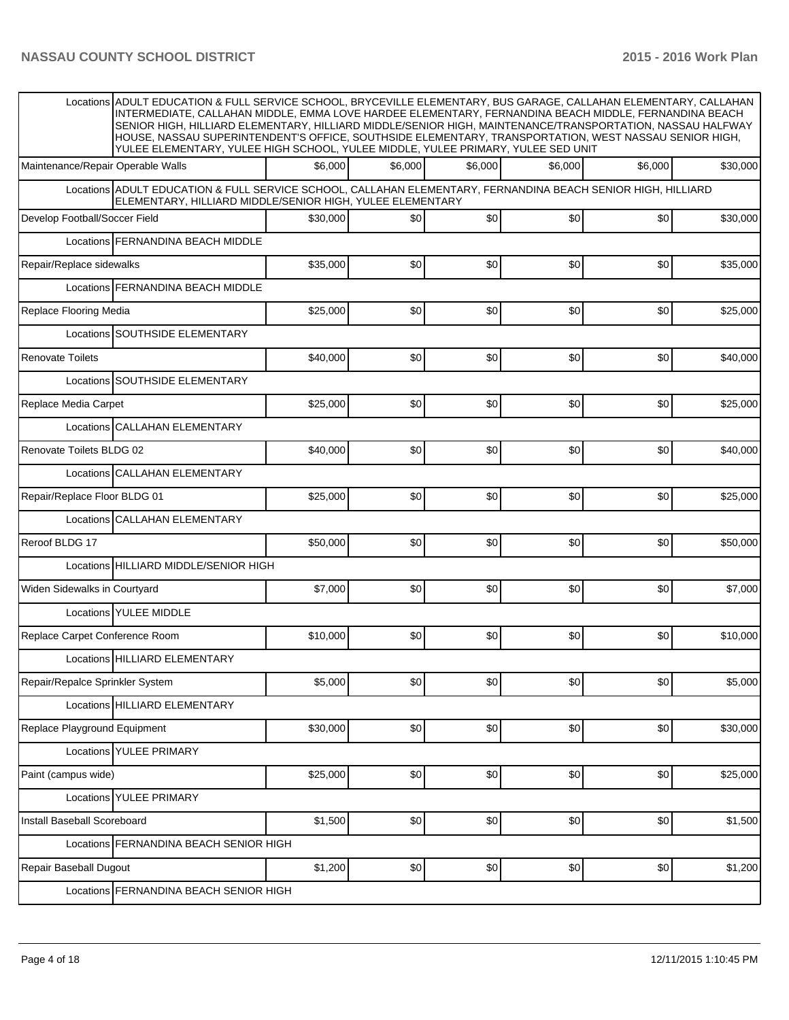|                                   | Locations ADULT EDUCATION & FULL SERVICE SCHOOL, BRYCEVILLE ELEMENTARY, BUS GARAGE, CALLAHAN ELEMENTARY, CALLAHAN<br>INTERMEDIATE, CALLAHAN MIDDLE, EMMA LOVE HARDEE ELEMENTARY, FERNANDINA BEACH MIDDLE, FERNANDINA BEACH<br>SENIOR HIGH, HILLIARD ELEMENTARY, HILLIARD MIDDLE/SENIOR HIGH, MAINTENANCE/TRANSPORTATION, NASSAU HALFWAY<br>HOUSE, NASSAU SUPERINTENDENT'S OFFICE, SOUTHSIDE ELEMENTARY, TRANSPORTATION, WEST NASSAU SENIOR HIGH,<br>YULEE ELEMENTARY, YULEE HIGH SCHOOL, YULEE MIDDLE, YULEE PRIMARY, YULEE SED UNIT |          |         |         |         |         |          |  |  |  |  |
|-----------------------------------|--------------------------------------------------------------------------------------------------------------------------------------------------------------------------------------------------------------------------------------------------------------------------------------------------------------------------------------------------------------------------------------------------------------------------------------------------------------------------------------------------------------------------------------|----------|---------|---------|---------|---------|----------|--|--|--|--|
| Maintenance/Repair Operable Walls |                                                                                                                                                                                                                                                                                                                                                                                                                                                                                                                                      | \$6,000  | \$6,000 | \$6,000 | \$6.000 | \$6,000 | \$30,000 |  |  |  |  |
|                                   | Locations ADULT EDUCATION & FULL SERVICE SCHOOL, CALLAHAN ELEMENTARY, FERNANDINA BEACH SENIOR HIGH, HILLIARD<br>ELEMENTARY, HILLIARD MIDDLE/SENIOR HIGH, YULEE ELEMENTARY                                                                                                                                                                                                                                                                                                                                                            |          |         |         |         |         |          |  |  |  |  |
| Develop Football/Soccer Field     |                                                                                                                                                                                                                                                                                                                                                                                                                                                                                                                                      | \$30,000 | \$0     | \$0     | \$0     | \$0     | \$30,000 |  |  |  |  |
|                                   | Locations FERNANDINA BEACH MIDDLE                                                                                                                                                                                                                                                                                                                                                                                                                                                                                                    |          |         |         |         |         |          |  |  |  |  |
| Repair/Replace sidewalks          |                                                                                                                                                                                                                                                                                                                                                                                                                                                                                                                                      | \$35,000 | \$0     | \$0     | \$0     | \$0     | \$35,000 |  |  |  |  |
|                                   | Locations FERNANDINA BEACH MIDDLE                                                                                                                                                                                                                                                                                                                                                                                                                                                                                                    |          |         |         |         |         |          |  |  |  |  |
| Replace Flooring Media            |                                                                                                                                                                                                                                                                                                                                                                                                                                                                                                                                      | \$25,000 | \$0     | \$0     | \$0     | \$0     | \$25,000 |  |  |  |  |
|                                   | Locations SOUTHSIDE ELEMENTARY                                                                                                                                                                                                                                                                                                                                                                                                                                                                                                       |          |         |         |         |         |          |  |  |  |  |
| <b>Renovate Toilets</b>           |                                                                                                                                                                                                                                                                                                                                                                                                                                                                                                                                      | \$40,000 | \$0     | \$0     | \$0     | \$0     | \$40,000 |  |  |  |  |
|                                   | Locations SOUTHSIDE ELEMENTARY                                                                                                                                                                                                                                                                                                                                                                                                                                                                                                       |          |         |         |         |         |          |  |  |  |  |
| Replace Media Carpet              |                                                                                                                                                                                                                                                                                                                                                                                                                                                                                                                                      | \$25,000 | \$0     | \$0     | \$0     | \$0     | \$25,000 |  |  |  |  |
|                                   | Locations CALLAHAN ELEMENTARY                                                                                                                                                                                                                                                                                                                                                                                                                                                                                                        |          |         |         |         |         |          |  |  |  |  |
| Renovate Toilets BLDG 02          |                                                                                                                                                                                                                                                                                                                                                                                                                                                                                                                                      | \$40,000 | \$0     | \$0     | \$0     | \$0     | \$40,000 |  |  |  |  |
|                                   | Locations CALLAHAN ELEMENTARY                                                                                                                                                                                                                                                                                                                                                                                                                                                                                                        |          |         |         |         |         |          |  |  |  |  |
| Repair/Replace Floor BLDG 01      |                                                                                                                                                                                                                                                                                                                                                                                                                                                                                                                                      | \$25,000 | \$0     | \$0     | \$0     | \$0     | \$25,000 |  |  |  |  |
|                                   | Locations CALLAHAN ELEMENTARY                                                                                                                                                                                                                                                                                                                                                                                                                                                                                                        |          |         |         |         |         |          |  |  |  |  |
| Reroof BLDG 17                    |                                                                                                                                                                                                                                                                                                                                                                                                                                                                                                                                      | \$50,000 | \$0     | \$0     | \$0     | \$0     | \$50,000 |  |  |  |  |
|                                   | Locations HILLIARD MIDDLE/SENIOR HIGH                                                                                                                                                                                                                                                                                                                                                                                                                                                                                                |          |         |         |         |         |          |  |  |  |  |
| Widen Sidewalks in Courtyard      |                                                                                                                                                                                                                                                                                                                                                                                                                                                                                                                                      | \$7,000  | \$0     | \$0     | \$0     | \$0     | \$7,000  |  |  |  |  |
|                                   | Locations YULEE MIDDLE                                                                                                                                                                                                                                                                                                                                                                                                                                                                                                               |          |         |         |         |         |          |  |  |  |  |
| Replace Carpet Conference Room    |                                                                                                                                                                                                                                                                                                                                                                                                                                                                                                                                      | \$10,000 | \$0     | \$0     | \$0     | \$0     | \$10,000 |  |  |  |  |
|                                   | Locations HILLIARD ELEMENTARY                                                                                                                                                                                                                                                                                                                                                                                                                                                                                                        |          |         |         |         |         |          |  |  |  |  |
| Repair/Repalce Sprinkler System   |                                                                                                                                                                                                                                                                                                                                                                                                                                                                                                                                      | \$5,000  | \$0     | \$0     | \$0     | \$0     | \$5,000  |  |  |  |  |
|                                   | Locations HILLIARD ELEMENTARY                                                                                                                                                                                                                                                                                                                                                                                                                                                                                                        |          |         |         |         |         |          |  |  |  |  |
| Replace Playground Equipment      |                                                                                                                                                                                                                                                                                                                                                                                                                                                                                                                                      | \$30,000 | \$0]    | \$0     | \$0     | \$0     | \$30,000 |  |  |  |  |
|                                   | Locations YULEE PRIMARY                                                                                                                                                                                                                                                                                                                                                                                                                                                                                                              |          |         |         |         |         |          |  |  |  |  |
| Paint (campus wide)               |                                                                                                                                                                                                                                                                                                                                                                                                                                                                                                                                      | \$25,000 | \$0     | \$0     | \$0     | \$0     | \$25,000 |  |  |  |  |
|                                   | Locations YULEE PRIMARY                                                                                                                                                                                                                                                                                                                                                                                                                                                                                                              |          |         |         |         |         |          |  |  |  |  |
| Install Baseball Scoreboard       |                                                                                                                                                                                                                                                                                                                                                                                                                                                                                                                                      | \$1,500  | \$0     | \$0     | \$0     | \$0     | \$1,500  |  |  |  |  |
|                                   | Locations FERNANDINA BEACH SENIOR HIGH                                                                                                                                                                                                                                                                                                                                                                                                                                                                                               |          |         |         |         |         |          |  |  |  |  |
| Repair Baseball Dugout            |                                                                                                                                                                                                                                                                                                                                                                                                                                                                                                                                      | \$1,200  | \$0     | \$0     | \$0     | \$0     | \$1,200  |  |  |  |  |
|                                   | Locations FERNANDINA BEACH SENIOR HIGH                                                                                                                                                                                                                                                                                                                                                                                                                                                                                               |          |         |         |         |         |          |  |  |  |  |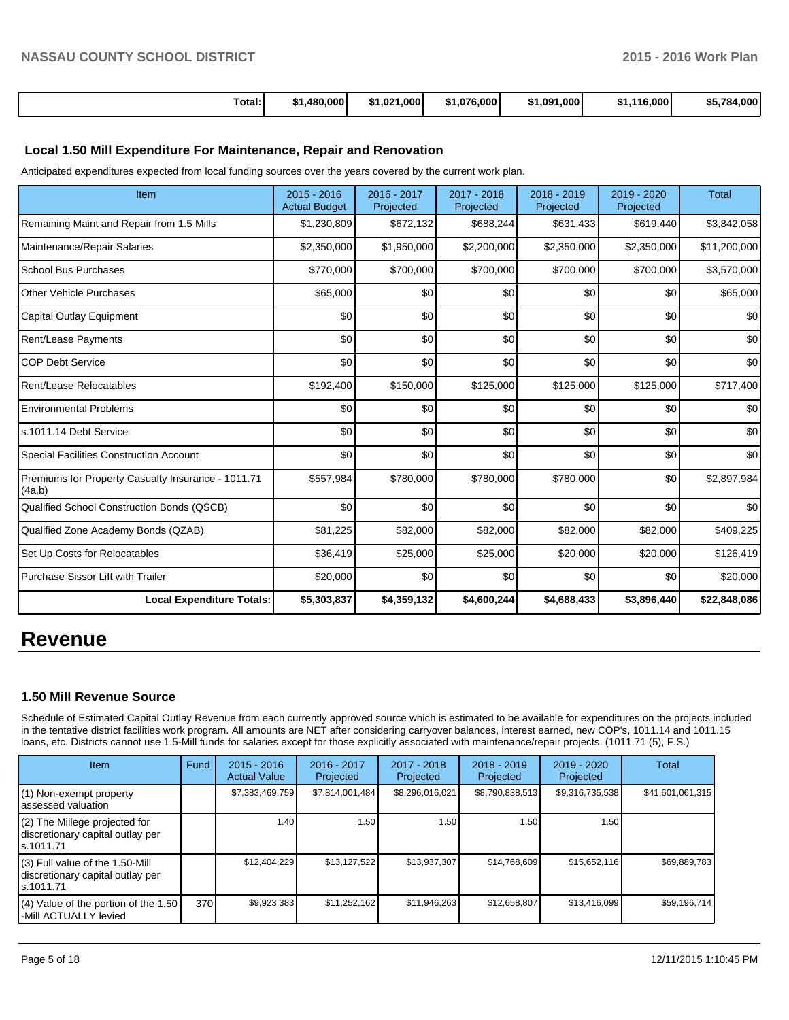|  | Total:<br>. | .480.000 | 1.000<br>⊸1.021 | \$1,076,000 | \$1.091.000 | .116.000<br>đа<br>וכ | \$5.784.000 |
|--|-------------|----------|-----------------|-------------|-------------|----------------------|-------------|
|--|-------------|----------|-----------------|-------------|-------------|----------------------|-------------|

## **Local 1.50 Mill Expenditure For Maintenance, Repair and Renovation**

Anticipated expenditures expected from local funding sources over the years covered by the current work plan.

| Item                                                         | 2015 - 2016<br><b>Actual Budget</b> | 2016 - 2017<br>Projected | 2017 - 2018<br>Projected | 2018 - 2019<br>Projected | 2019 - 2020<br>Projected | <b>Total</b> |
|--------------------------------------------------------------|-------------------------------------|--------------------------|--------------------------|--------------------------|--------------------------|--------------|
| Remaining Maint and Repair from 1.5 Mills                    | \$1,230,809                         | \$672,132                | \$688,244                | \$631,433                | \$619,440                | \$3,842,058  |
| Maintenance/Repair Salaries                                  | \$2,350,000                         | \$1,950,000              | \$2,200,000              | \$2,350,000              | \$2,350,000              | \$11,200,000 |
| <b>School Bus Purchases</b>                                  | \$770,000                           | \$700,000                | \$700,000                | \$700,000                | \$700,000                | \$3,570,000  |
| Other Vehicle Purchases                                      | \$65,000                            | \$0                      | \$0                      | \$0                      | \$0                      | \$65,000     |
| Capital Outlay Equipment                                     | \$0                                 | \$0                      | \$0                      | \$0                      | \$0                      | \$0          |
| <b>Rent/Lease Payments</b>                                   | \$0                                 | \$0                      | \$0                      | \$0                      | \$0                      | \$0          |
| <b>COP Debt Service</b>                                      | \$0                                 | \$0                      | \$0                      | \$0                      | \$0                      | \$0          |
| Rent/Lease Relocatables                                      | \$192,400                           | \$150,000                | \$125,000                | \$125,000                | \$125,000                | \$717,400    |
| <b>Environmental Problems</b>                                | \$0                                 | \$0                      | \$0                      | \$0                      | \$0                      | \$0          |
| s.1011.14 Debt Service                                       | \$0                                 | \$0                      | \$0                      | \$0                      | \$0                      | \$0          |
| <b>Special Facilities Construction Account</b>               | 30                                  | \$0                      | 30                       | \$0                      | \$0                      | \$0          |
| Premiums for Property Casualty Insurance - 1011.71<br>(4a,b) | \$557,984                           | \$780,000                | \$780,000                | \$780,000                | \$0                      | \$2,897,984  |
| Qualified School Construction Bonds (QSCB)                   | 30                                  | \$0                      | \$0                      | \$0                      | \$0                      | \$0          |
| Qualified Zone Academy Bonds (QZAB)                          | \$81,225                            | \$82,000                 | \$82,000                 | \$82,000                 | \$82,000                 | \$409,225    |
| Set Up Costs for Relocatables                                | \$36,419                            | \$25,000                 | \$25,000                 | \$20,000                 | \$20,000                 | \$126,419    |
| Purchase Sissor Lift with Trailer                            | \$20,000                            | \$0                      | \$0                      | \$0                      | \$0                      | \$20,000     |
| <b>Local Expenditure Totals:</b>                             | \$5,303,837                         | \$4,359,132              | \$4,600,244              | \$4,688,433              | \$3,896,440              | \$22,848,086 |

## **Revenue**

## **1.50 Mill Revenue Source**

Schedule of Estimated Capital Outlay Revenue from each currently approved source which is estimated to be available for expenditures on the projects included in the tentative district facilities work program. All amounts are NET after considering carryover balances, interest earned, new COP's, 1011.14 and 1011.15 loans, etc. Districts cannot use 1.5-Mill funds for salaries except for those explicitly associated with maintenance/repair projects. (1011.71 (5), F.S.)

| <b>Item</b>                                                                         | Fund | $2015 - 2016$<br><b>Actual Value</b> | 2016 - 2017<br>Projected | $2017 - 2018$<br>Projected | $2018 - 2019$<br>Projected | $2019 - 2020$<br>Projected | Total            |
|-------------------------------------------------------------------------------------|------|--------------------------------------|--------------------------|----------------------------|----------------------------|----------------------------|------------------|
| $(1)$ Non-exempt property<br>lassessed valuation                                    |      | \$7,383,469,759                      | \$7,814,001,484          | \$8,296,016,021            | \$8,790,838,513            | \$9,316,735,538            | \$41,601,061,315 |
| $(2)$ The Millege projected for<br>discretionary capital outlay per<br>ls.1011.71   |      | 1.40 l                               | 1.50 l                   | 1.50                       | 1.50                       | 1.50                       |                  |
| $(3)$ Full value of the 1.50-Mill<br>discretionary capital outlay per<br>ls.1011.71 |      | \$12,404,229                         | \$13,127,522             | \$13.937.307               | \$14.768.609               | \$15,652,116               | \$69,889,783     |
| (4) Value of the portion of the 1.50<br>l-Mill ACTUALLY levied                      | 370  | \$9,923,383                          | \$11,252,162             | \$11,946,263               | \$12,658,807               | \$13.416.099               | \$59,196,714     |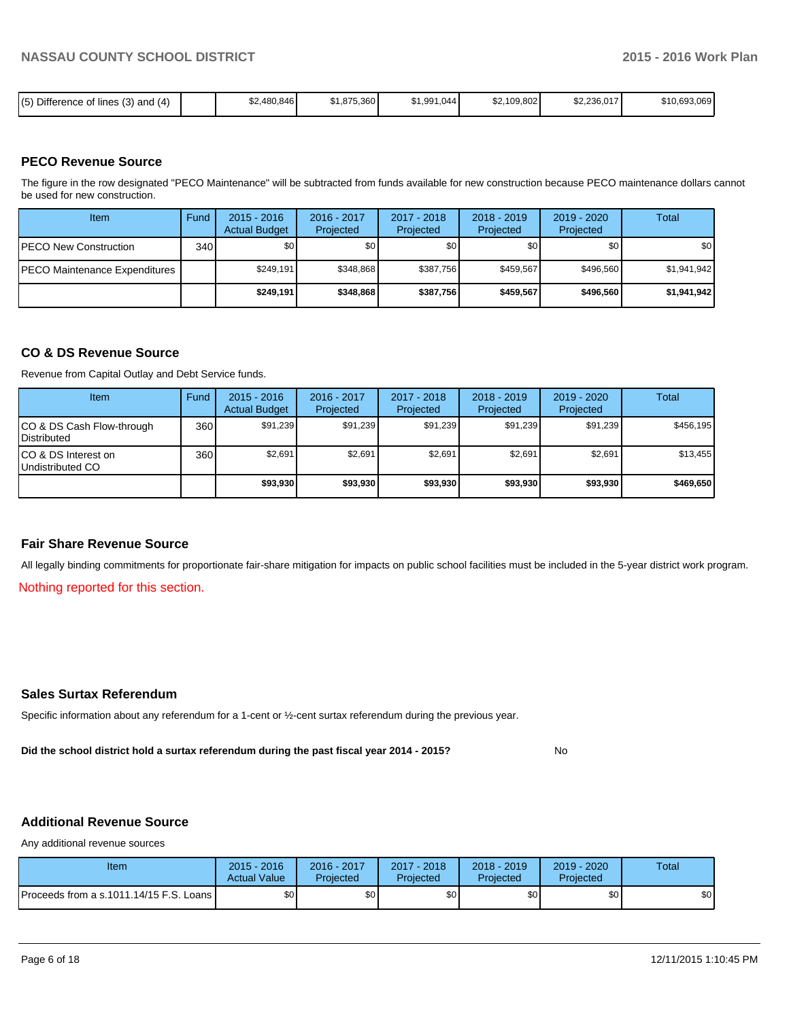| Difference<br>.<br>(5)<br>$\mu$ and (4)<br>$\sqrt{2}$<br>of lines<br>- 112<br>، ب<br>. UI |  | .480,846<br>ົ້ | \$1,875,360 | \$1,991,044 | \$2,109,802<br>.⊾ত | \$2,236,017 | \$10,693,069 |
|-------------------------------------------------------------------------------------------|--|----------------|-------------|-------------|--------------------|-------------|--------------|
|-------------------------------------------------------------------------------------------|--|----------------|-------------|-------------|--------------------|-------------|--------------|

## **PECO Revenue Source**

The figure in the row designated "PECO Maintenance" will be subtracted from funds available for new construction because PECO maintenance dollars cannot be used for new construction.

| Item                                  | Fund | $2015 - 2016$<br><b>Actual Budget</b> | 2016 - 2017<br>Projected | 2017 - 2018<br>Projected | $2018 - 2019$<br>Projected | $2019 - 2020$<br>Projected | Total            |
|---------------------------------------|------|---------------------------------------|--------------------------|--------------------------|----------------------------|----------------------------|------------------|
| <b>IPECO New Construction</b>         | 340  | \$O I                                 | \$0 <sub>1</sub>         | \$0                      | \$0                        | \$0                        | \$0 <sub>1</sub> |
| <b>IPECO Maintenance Expenditures</b> |      | \$249.191                             | \$348.868                | \$387.756                | \$459.567                  | \$496,560                  | \$1,941,942      |
|                                       |      | \$249.191                             | \$348,868                | \$387,756                | \$459,567                  | \$496,560                  | \$1,941,942      |

## **CO & DS Revenue Source**

Revenue from Capital Outlay and Debt Service funds.

| Item                                               | Fund | $2015 - 2016$<br><b>Actual Budget</b> | $2016 - 2017$<br>Projected | $2017 - 2018$<br>Projected | $2018 - 2019$<br>Projected | $2019 - 2020$<br>Projected | Total     |
|----------------------------------------------------|------|---------------------------------------|----------------------------|----------------------------|----------------------------|----------------------------|-----------|
| ICO & DS Cash Flow-through<br><b>I</b> Distributed | 360  | \$91.239                              | \$91,239                   | \$91.239                   | \$91.239                   | \$91,239                   | \$456.195 |
| ICO & DS Interest on<br>Undistributed CO           | 360  | \$2,691                               | \$2,691                    | \$2,691                    | \$2.691                    | \$2,691                    | \$13,455  |
|                                                    |      | \$93,930                              | \$93,930                   | \$93,930                   | \$93,930                   | \$93,930                   | \$469,650 |

#### **Fair Share Revenue Source**

All legally binding commitments for proportionate fair-share mitigation for impacts on public school facilities must be included in the 5-year district work program.

Nothing reported for this section.

## **Sales Surtax Referendum**

Specific information about any referendum for a 1-cent or ½-cent surtax referendum during the previous year.

**Did the school district hold a surtax referendum during the past fiscal year 2014 - 2015?**

No

## **Additional Revenue Source**

Any additional revenue sources

| Item                                      | $2015 - 2016$<br><b>Actual Value</b> | 2016 - 2017<br>Projected | $2017 - 2018$<br>Proiected | 2018 - 2019<br>Projected | 2019 - 2020<br>Projected | Total |
|-------------------------------------------|--------------------------------------|--------------------------|----------------------------|--------------------------|--------------------------|-------|
| Proceeds from a s.1011.14/15 F.S. Loans I | \$0 <sub>1</sub>                     | \$0                      | \$0                        | \$0 I                    | \$0                      | \$0   |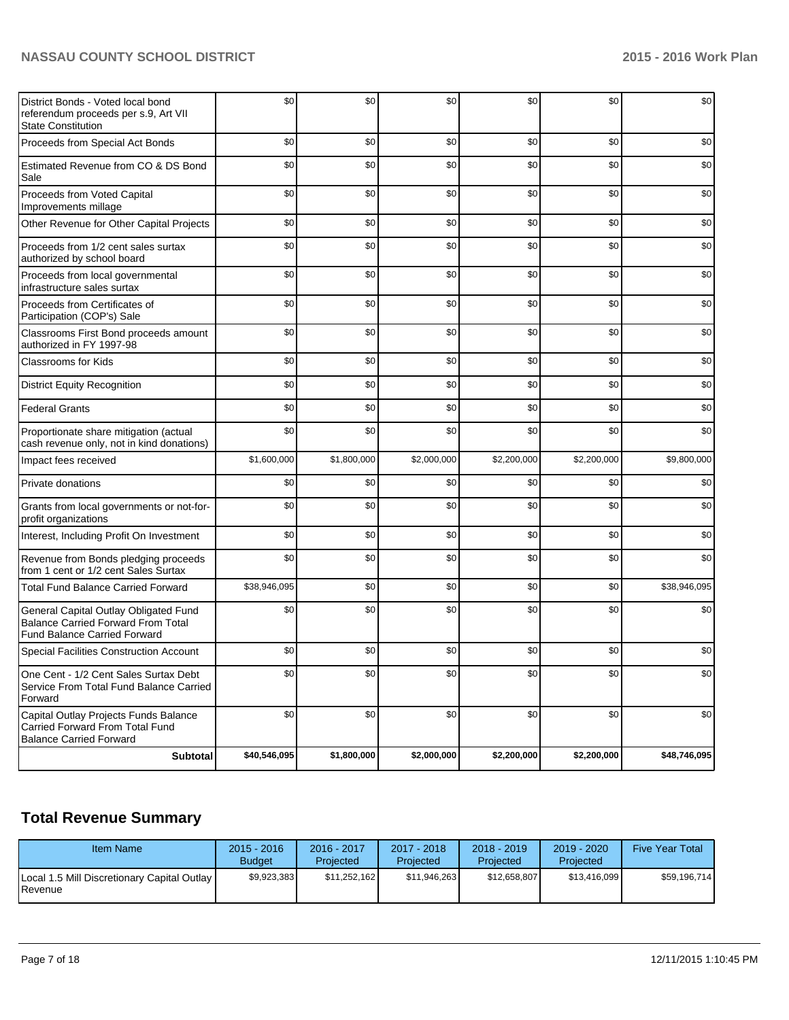| District Bonds - Voted local bond<br>referendum proceeds per s.9, Art VII<br><b>State Constitution</b>                    | \$0          | \$0         | \$0         | \$0         | \$0         | \$0          |
|---------------------------------------------------------------------------------------------------------------------------|--------------|-------------|-------------|-------------|-------------|--------------|
| Proceeds from Special Act Bonds                                                                                           | \$0          | \$0         | \$0         | \$0         | \$0         | \$0          |
| Estimated Revenue from CO & DS Bond<br>Sale                                                                               | \$0          | \$0         | \$0         | \$0         | \$0         | \$0          |
| Proceeds from Voted Capital<br>Improvements millage                                                                       | \$0          | \$0         | \$0         | \$0         | \$0         | \$0          |
| Other Revenue for Other Capital Projects                                                                                  | \$0          | \$0         | \$0         | \$0         | \$0         | \$0          |
| Proceeds from 1/2 cent sales surtax<br>authorized by school board                                                         | \$0          | \$0         | \$0         | \$0         | \$0         | \$0          |
| Proceeds from local governmental<br>infrastructure sales surtax                                                           | \$0          | \$0         | \$0         | \$0         | \$0         | \$0          |
| Proceeds from Certificates of<br>Participation (COP's) Sale                                                               | \$0          | \$0         | \$0         | \$0         | \$0         | \$0          |
| Classrooms First Bond proceeds amount<br>authorized in FY 1997-98                                                         | \$0          | \$0         | \$0         | \$0         | \$0         | \$0          |
| <b>Classrooms for Kids</b>                                                                                                | \$0          | \$0         | \$0         | \$0         | \$0         | \$0          |
| <b>District Equity Recognition</b>                                                                                        | \$0          | \$0         | \$0         | \$0         | \$0         | \$0          |
| <b>Federal Grants</b>                                                                                                     | \$0          | \$0         | \$0         | \$0         | \$0         | \$0          |
| Proportionate share mitigation (actual<br>cash revenue only, not in kind donations)                                       | \$0          | \$0         | \$0         | \$0         | \$0         | \$0          |
| Impact fees received                                                                                                      | \$1,600,000  | \$1,800,000 | \$2,000,000 | \$2,200,000 | \$2,200,000 | \$9,800,000  |
| Private donations                                                                                                         | \$0          | \$0         | \$0         | \$0         | \$0         | \$0          |
| Grants from local governments or not-for-<br>profit organizations                                                         | \$0          | \$0         | \$0         | \$0         | \$0         | \$0          |
| Interest, Including Profit On Investment                                                                                  | \$0          | \$0         | \$0         | \$0         | \$0         | \$0          |
| Revenue from Bonds pledging proceeds<br>from 1 cent or 1/2 cent Sales Surtax                                              | \$0          | \$0         | \$0         | \$0         | \$0         | \$0          |
| <b>Total Fund Balance Carried Forward</b>                                                                                 | \$38,946,095 | \$0         | \$0         | \$0         | \$0         | \$38,946,095 |
| General Capital Outlay Obligated Fund<br><b>Balance Carried Forward From Total</b><br><b>Fund Balance Carried Forward</b> | \$0          | \$0         | \$0         | \$0         | \$0         | \$0          |
| Special Facilities Construction Account                                                                                   | \$0          | \$0         | \$0         | \$0         | \$0         | \$0          |
| One Cent - 1/2 Cent Sales Surtax Debt<br>Service From Total Fund Balance Carried<br>Forward                               | \$0          | \$0         | \$0         | \$0         | \$0         | \$0          |
| Capital Outlay Projects Funds Balance<br>Carried Forward From Total Fund<br><b>Balance Carried Forward</b>                | \$0          | \$0         | \$0         | \$0         | \$0         | \$0          |
| <b>Subtotal</b>                                                                                                           | \$40,546,095 | \$1,800,000 | \$2,000,000 | \$2,200,000 | \$2,200,000 | \$48,746,095 |

## **Total Revenue Summary**

| <b>Item Name</b>                                                | $2015 - 2016$<br><b>Budget</b> | 2016 - 2017<br>Projected | 2017 - 2018<br><b>Projected</b> | $2018 - 2019$<br>Projected | $2019 - 2020$<br>Projected | <b>Five Year Total</b> |
|-----------------------------------------------------------------|--------------------------------|--------------------------|---------------------------------|----------------------------|----------------------------|------------------------|
| Local 1.5 Mill Discretionary Capital Outlay<br><b>I</b> Revenue | \$9,923,383                    | \$11.252.162             | \$11.946.263                    | \$12.658.807               | \$13.416.099               | \$59,196,714           |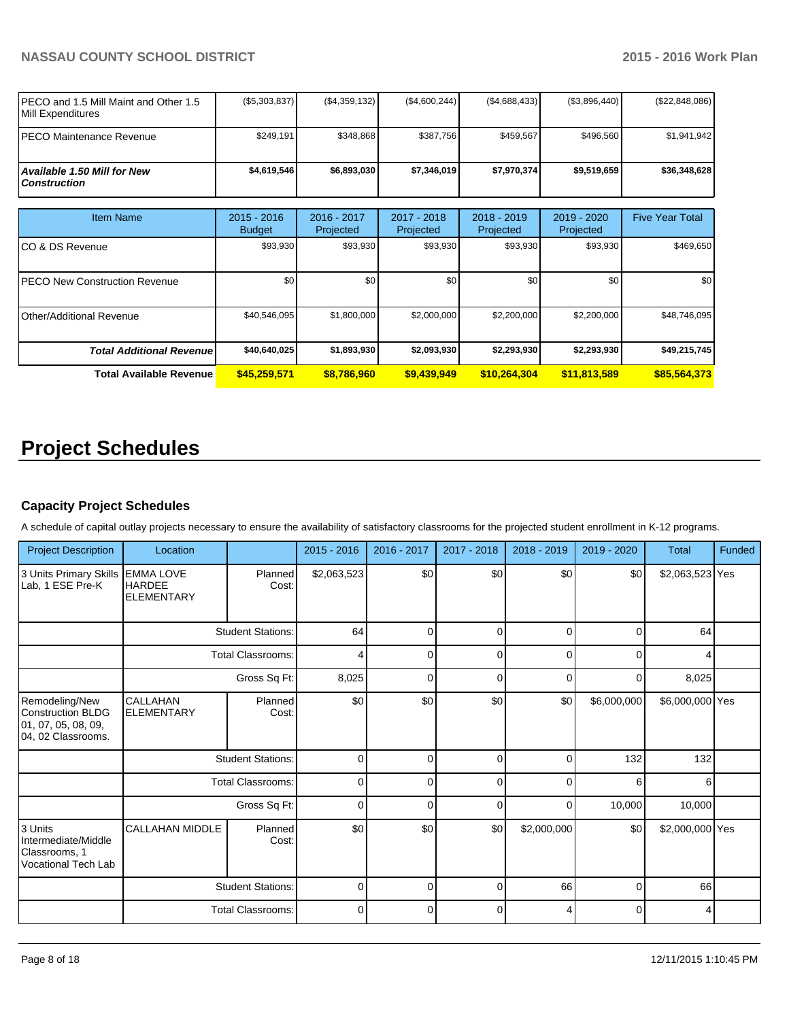| <b>IPECO and 1.5 Mill Maint and Other 1.5</b><br><b>IMill Expenditures</b> | (S5, 303, 837) | (S4, 359, 132) | (S4,600,244) | (S4,688,433) | (S3,896,440) | (\$22,848,086) |
|----------------------------------------------------------------------------|----------------|----------------|--------------|--------------|--------------|----------------|
| IPECO Maintenance Revenue                                                  | \$249.191      | \$348.868      | \$387.756    | \$459.567    | \$496.560    | \$1.941.942    |
| <b>Available 1.50 Mill for New</b><br>l Construction                       | \$4.619.546    | \$6.893.030    | \$7.346.019  | \$7.970.3741 | \$9.519.659  | \$36,348,628   |

| <b>Item Name</b>                 | $2015 - 2016$<br><b>Budget</b> | 2016 - 2017<br>Projected | 2017 - 2018<br>Projected | $2018 - 2019$<br>Projected | 2019 - 2020<br>Projected | <b>Five Year Total</b> |
|----------------------------------|--------------------------------|--------------------------|--------------------------|----------------------------|--------------------------|------------------------|
| ICO & DS Revenue                 | \$93,930                       | \$93,930                 | \$93,930                 | \$93,930                   | \$93,930                 | \$469,650              |
| IPECO New Construction Revenue   | \$0                            | \$0                      | \$0                      | \$0                        | \$0                      | \$0 <sub>1</sub>       |
| Other/Additional Revenue         | \$40,546,095                   | \$1,800,000              | \$2,000,000              | \$2,200,000                | \$2,200,000              | \$48,746,095           |
| <b>Total Additional Revenuel</b> | \$40,640,025                   | \$1,893,930              | \$2,093,930              | \$2,293,930                | \$2,293,930              | \$49,215,745           |
| <b>Total Available Revenue</b>   | \$45,259,571                   | \$8,786,960              | \$9,439,949              | \$10,264,304               | \$11,813,589             | \$85,564,373           |

# **Project Schedules**

## **Capacity Project Schedules**

A schedule of capital outlay projects necessary to ensure the availability of satisfactory classrooms for the projected student enrollment in K-12 programs.

| <b>Project Description</b>                                                        | Location                                               |                          | $2015 - 2016$ | 2016 - 2017 | 2017 - 2018 | 2018 - 2019 | 2019 - 2020 | <b>Total</b>    | Funded |
|-----------------------------------------------------------------------------------|--------------------------------------------------------|--------------------------|---------------|-------------|-------------|-------------|-------------|-----------------|--------|
| 3 Units Primary Skills<br>Lab, 1 ESE Pre-K                                        | <b>EMMA LOVE</b><br><b>HARDEE</b><br><b>ELEMENTARY</b> | Planned<br>Cost:         | \$2,063,523   | \$0         | \$0         | \$0         | \$0         | \$2,063,523 Yes |        |
|                                                                                   |                                                        | <b>Student Stations:</b> | 64            | 0           | 0           | $\Omega$    | 0           | 64              |        |
|                                                                                   |                                                        | <b>Total Classrooms:</b> | 4             | $\Omega$    | 0           | $\Omega$    | $\Omega$    | 4               |        |
|                                                                                   |                                                        | Gross Sq Ft:             | 8,025         | $\Omega$    | $\Omega$    | $\Omega$    | $\Omega$    | 8,025           |        |
| Remodeling/New<br>Construction BLDG<br>[01, 07, 05, 08, 09,<br>04, 02 Classrooms. | <b>CALLAHAN</b><br><b>ELEMENTARY</b>                   | Planned<br>Cost:         | \$0           | \$0         | \$0         | \$0         | \$6,000,000 | \$6,000,000 Yes |        |
|                                                                                   |                                                        | <b>Student Stations:</b> | $\mathbf 0$   | $\Omega$    | $\Omega$    | $\Omega$    | 132         | 132             |        |
|                                                                                   |                                                        | <b>Total Classrooms:</b> | $\mathbf 0$   | ი           | $\Omega$    | n           | 6           | 6               |        |
|                                                                                   |                                                        | Gross Sq Ft:             | $\mathbf 0$   | O           | $\Omega$    | 0           | 10,000      | 10,000          |        |
| 3 Units<br>Intermediate/Middle<br>Classrooms, 1<br><b>Vocational Tech Lab</b>     | CALLAHAN MIDDLE                                        | Planned<br>Cost:         | \$0           | \$0         | \$0         | \$2,000,000 | \$0         | \$2,000,000 Yes |        |
|                                                                                   |                                                        | <b>Student Stations:</b> | $\mathbf 0$   | $\Omega$    | $\Omega$    | 66          | $\Omega$    | 66              |        |
|                                                                                   |                                                        | <b>Total Classrooms:</b> | $\mathbf 0$   | $\Omega$    | $\mathbf 0$ | 4           | $\Omega$    | 4               |        |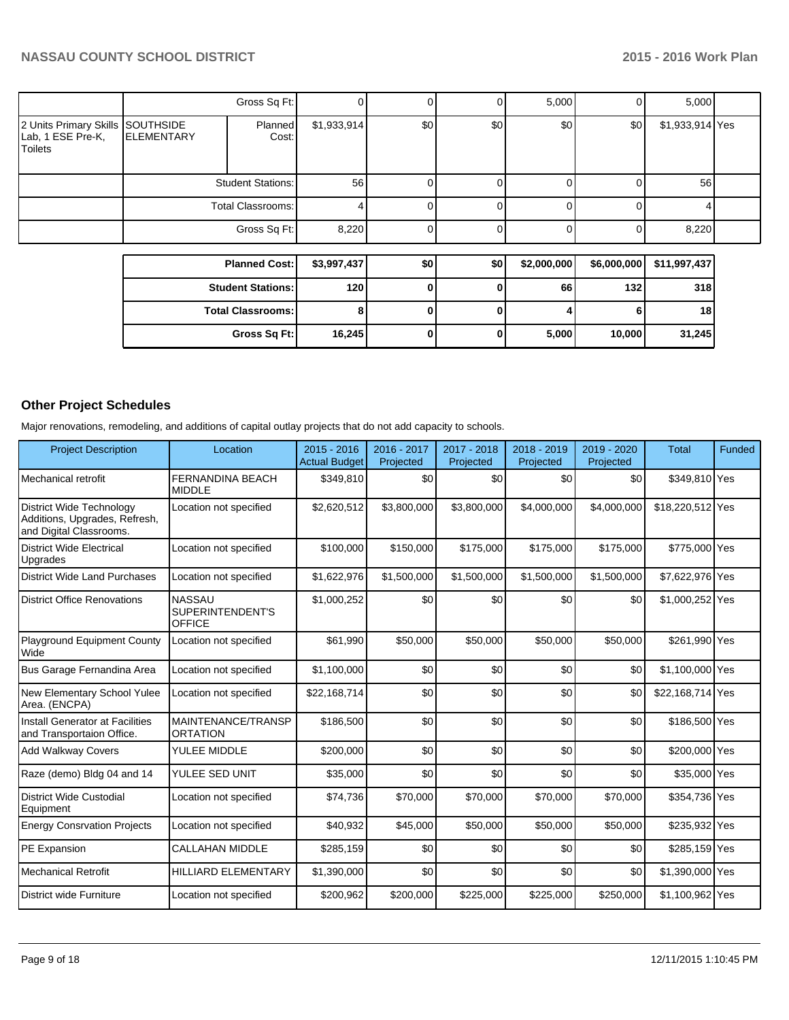|                                                                         |                   | Gross Sq Ft:             |             |     |     | 5,000       | 0           | 5,000           |  |
|-------------------------------------------------------------------------|-------------------|--------------------------|-------------|-----|-----|-------------|-------------|-----------------|--|
| 2 Units Primary Skills SOUTHSIDE<br>Lab, 1 ESE Pre-K,<br><b>Toilets</b> | <b>ELEMENTARY</b> | Planned<br>Cost:         | \$1,933,914 | \$0 | \$0 | \$0         | \$0         | \$1,933,914 Yes |  |
|                                                                         |                   | <b>Student Stations:</b> | 56          |     |     |             | 0           | 56              |  |
|                                                                         |                   | Total Classrooms:        |             |     |     |             |             |                 |  |
|                                                                         |                   | Gross Sq Ft:             | 8,220       |     |     |             | 0           | 8,220           |  |
|                                                                         |                   | <b>Planned Cost:</b>     | \$3,997,437 | \$0 | \$0 | \$2,000,000 | \$6,000,000 | \$11,997,437    |  |
|                                                                         |                   | <b>Student Stations:</b> | 120         | 0   | o   | 66          | 132         | 318             |  |

**Total Classrooms: 8 0 0 4 6 18**

**Gross Sq Ft: 16,245 0 0 5,000 10,000 31,245**

## **Other Project Schedules**

Major renovations, remodeling, and additions of capital outlay projects that do not add capacity to schools.

| <b>Project Description</b>                                                                  | Location                                           | $2015 - 2016$<br><b>Actual Budget</b> | 2016 - 2017<br>Projected | 2017 - 2018<br>Projected | 2018 - 2019<br>Projected | 2019 - 2020<br>Projected | <b>Total</b>     | <b>Funded</b> |
|---------------------------------------------------------------------------------------------|----------------------------------------------------|---------------------------------------|--------------------------|--------------------------|--------------------------|--------------------------|------------------|---------------|
| Mechanical retrofit                                                                         | <b>FERNANDINA BEACH</b><br><b>MIDDLE</b>           | \$349,810                             | \$0                      | \$0                      | \$0                      | \$0                      | \$349,810 Yes    |               |
| <b>District Wide Technology</b><br>Additions, Upgrades, Refresh,<br>and Digital Classrooms. | Location not specified                             | \$2,620,512                           | \$3,800,000              | \$3,800,000              | \$4,000,000              | \$4,000,000              | \$18,220,512 Yes |               |
| <b>District Wide Electrical</b><br>Upgrades                                                 | Location not specified                             | \$100,000                             | \$150,000                | \$175,000                | \$175,000                | \$175,000                | \$775,000 Yes    |               |
| District Wide Land Purchases                                                                | Location not specified                             | \$1,622,976                           | \$1,500,000              | \$1,500,000              | \$1,500,000              | \$1,500,000              | \$7,622,976 Yes  |               |
| District Office Renovations                                                                 | <b>NASSAU</b><br>SUPERINTENDENT'S<br><b>OFFICE</b> | \$1,000,252                           | \$0                      | \$0                      | \$0                      | \$0                      | \$1,000,252 Yes  |               |
| Playground Equipment County<br>Wide                                                         | Location not specified                             | \$61,990                              | \$50,000                 | \$50,000                 | \$50,000                 | \$50,000                 | \$261,990 Yes    |               |
| Bus Garage Fernandina Area                                                                  | Location not specified                             | \$1,100,000                           | \$0                      | \$0                      | \$0                      | \$0                      | \$1,100,000 Yes  |               |
| New Elementary School Yulee<br>Area. (ENCPA)                                                | Location not specified                             | \$22.168.714                          | \$0                      | \$0                      | \$0                      | \$0                      | \$22.168.714 Yes |               |
| Install Generator at Facilities<br>and Transportaion Office.                                | MAINTENANCE/TRANSP<br><b>ORTATION</b>              | \$186,500                             | \$0                      | \$0                      | \$0                      | \$0                      | \$186,500 Yes    |               |
| <b>Add Walkway Covers</b>                                                                   | YULEE MIDDLE                                       | \$200,000                             | \$0                      | \$0                      | \$0                      | \$0                      | \$200,000 Yes    |               |
| Raze (demo) Bldg 04 and 14                                                                  | YULEE SED UNIT                                     | \$35,000                              | \$0                      | \$0                      | \$0                      | \$0                      | \$35,000 Yes     |               |
| District Wide Custodial<br>Equipment                                                        | Location not specified                             | \$74,736                              | \$70,000                 | \$70,000                 | \$70,000                 | \$70,000                 | \$354,736 Yes    |               |
| <b>Energy Consrvation Projects</b>                                                          | Location not specified                             | \$40,932                              | \$45,000                 | \$50,000                 | \$50,000                 | \$50,000                 | \$235,932 Yes    |               |
| PE Expansion                                                                                | <b>CALLAHAN MIDDLE</b>                             | \$285,159                             | \$0                      | \$0                      | \$0                      | \$0                      | \$285,159 Yes    |               |
| Mechanical Retrofit                                                                         | <b>HILLIARD ELEMENTARY</b>                         | \$1,390,000                           | \$0                      | \$0                      | \$0                      | \$0                      | \$1,390,000 Yes  |               |
| District wide Furniture                                                                     | Location not specified                             | \$200,962                             | \$200,000                | \$225,000                | \$225,000                | \$250,000                | \$1,100,962 Yes  |               |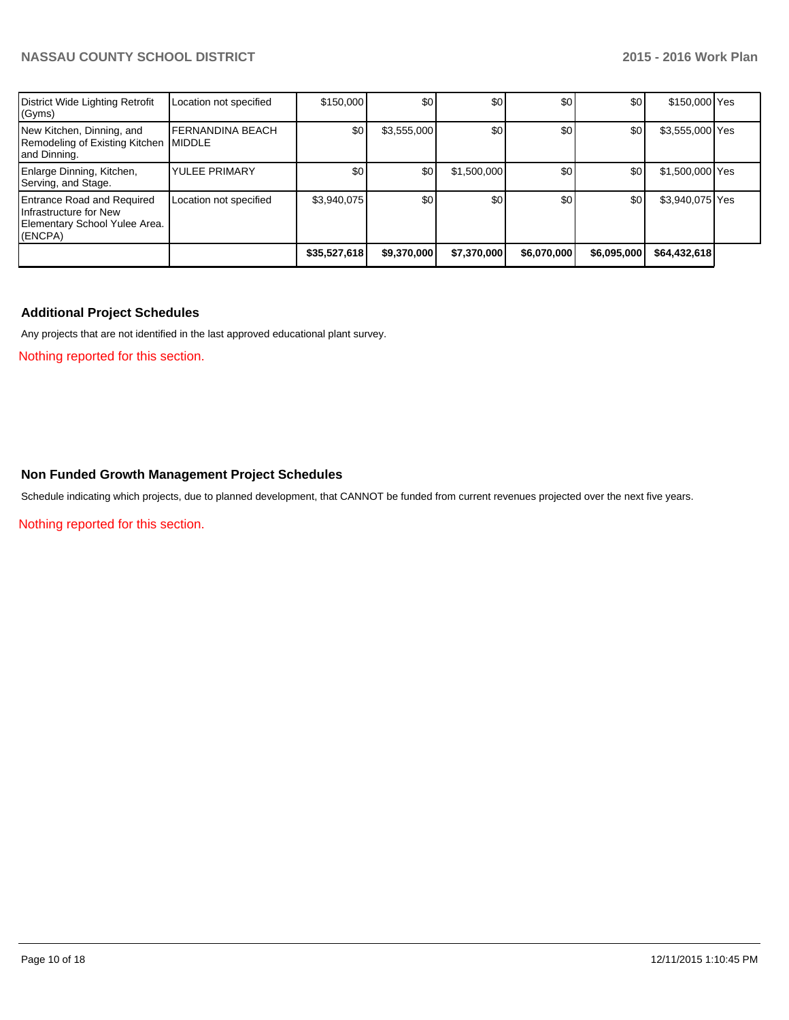| District Wide Lighting Retrofit<br>(Gyms)                                                               | Location not specified                     | \$150,000    | \$0         | \$0         | \$0         | \$0              | \$150,000 Yes   |  |
|---------------------------------------------------------------------------------------------------------|--------------------------------------------|--------------|-------------|-------------|-------------|------------------|-----------------|--|
| New Kitchen, Dinning, and<br>Remodeling of Existing Kitchen<br>and Dinning.                             | <b>IFERNANDINA BEACH</b><br><b>IMIDDLE</b> | \$0          | \$3,555,000 | \$0         | \$0         | \$0              | \$3,555,000 Yes |  |
| Enlarge Dinning, Kitchen,<br>Serving, and Stage.                                                        | <b>YULEE PRIMARY</b>                       | \$0          | \$0         | \$1,500,000 | \$0         | \$0              | \$1,500,000 Yes |  |
| <b>Entrance Road and Required</b><br>Infrastructure for New<br>Elementary School Yulee Area.<br>(ENCPA) | Location not specified                     | \$3,940,075  | \$0         | \$0         | \$0         | \$0 <sub>l</sub> | \$3,940,075 Yes |  |
|                                                                                                         |                                            | \$35,527,618 | \$9,370,000 | \$7,370,000 | \$6,070,000 | \$6,095,000      | \$64,432,618    |  |

## **Additional Project Schedules**

Any projects that are not identified in the last approved educational plant survey.

Nothing reported for this section.

## **Non Funded Growth Management Project Schedules**

Schedule indicating which projects, due to planned development, that CANNOT be funded from current revenues projected over the next five years.

Nothing reported for this section.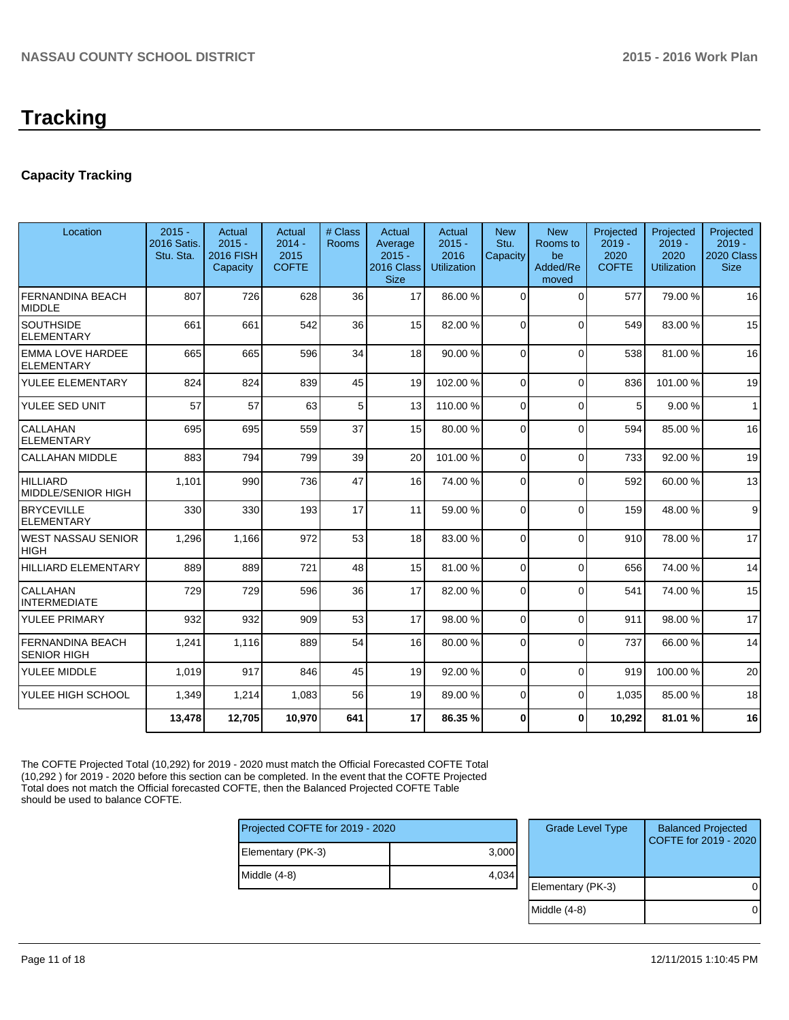# **Tracking**

## **Capacity Tracking**

| Location                                      | $2015 -$<br>2016 Satis.<br>Stu. Sta. | Actual<br>$2015 -$<br><b>2016 FISH</b><br>Capacity | Actual<br>$2014 -$<br>2015<br><b>COFTE</b> | # Class<br><b>Rooms</b> | Actual<br>Average<br>$2015 -$<br>2016 Class<br><b>Size</b> | Actual<br>$2015 -$<br>2016<br><b>Utilization</b> | <b>New</b><br>Stu.<br>Capacity | <b>New</b><br>Rooms to<br>be<br>Added/Re<br>moved | Projected<br>$2019 -$<br>2020<br><b>COFTE</b> | Projected<br>$2019 -$<br>2020<br><b>Utilization</b> | Projected<br>$2019 -$<br>2020 Class<br><b>Size</b> |
|-----------------------------------------------|--------------------------------------|----------------------------------------------------|--------------------------------------------|-------------------------|------------------------------------------------------------|--------------------------------------------------|--------------------------------|---------------------------------------------------|-----------------------------------------------|-----------------------------------------------------|----------------------------------------------------|
| <b>FERNANDINA BEACH</b><br><b>MIDDLE</b>      | 807                                  | 726                                                | 628                                        | 36                      | 17                                                         | 86.00 %                                          | $\Omega$                       | $\Omega$                                          | 577                                           | 79.00 %                                             | 16                                                 |
| <b>SOUTHSIDE</b><br><b>ELEMENTARY</b>         | 661                                  | 661                                                | 542                                        | 36                      | 15                                                         | 82.00 %                                          | $\Omega$                       | $\Omega$                                          | 549                                           | 83.00 %                                             | 15                                                 |
| <b>EMMA LOVE HARDEE</b><br><b>ELEMENTARY</b>  | 665                                  | 665                                                | 596                                        | 34                      | 18                                                         | 90.00 %                                          | $\Omega$                       | $\Omega$                                          | 538                                           | 81.00%                                              | 16                                                 |
| YULEE ELEMENTARY                              | 824                                  | 824                                                | 839                                        | 45                      | 19                                                         | 102.00%                                          | $\Omega$                       | $\Omega$                                          | 836                                           | 101.00%                                             | 19                                                 |
| YULEE SED UNIT                                | 57                                   | 57                                                 | 63                                         | 5                       | 13                                                         | 110.00%                                          | $\Omega$                       | $\mathbf{0}$                                      | 5                                             | 9.00%                                               | $\overline{1}$                                     |
| <b>CALLAHAN</b><br><b>ELEMENTARY</b>          | 695                                  | 695                                                | 559                                        | 37                      | 15                                                         | 80.00 %                                          | $\Omega$                       | $\Omega$                                          | 594                                           | 85.00 %                                             | 16                                                 |
| <b>CALLAHAN MIDDLE</b>                        | 883                                  | 794                                                | 799                                        | 39                      | 20                                                         | 101.00%                                          | $\Omega$                       | $\Omega$                                          | 733                                           | 92.00%                                              | 19                                                 |
| <b>HILLIARD</b><br>MIDDLE/SENIOR HIGH         | 1,101                                | 990                                                | 736                                        | 47                      | 16                                                         | 74.00 %                                          | $\Omega$                       | $\Omega$                                          | 592                                           | 60.00%                                              | 13                                                 |
| <b>BRYCEVILLE</b><br><b>ELEMENTARY</b>        | 330                                  | 330                                                | 193                                        | 17                      | 11                                                         | 59.00 %                                          | $\Omega$                       | $\Omega$                                          | 159                                           | 48.00%                                              | 9                                                  |
| <b>WEST NASSAU SENIOR</b><br><b>HIGH</b>      | 1,296                                | 1.166                                              | 972                                        | 53                      | 18 <sup>1</sup>                                            | 83.00 %                                          | $\Omega$                       | $\Omega$                                          | 910                                           | 78.00 %                                             | 17                                                 |
| <b>HILLIARD ELEMENTARY</b>                    | 889                                  | 889                                                | 721                                        | 48                      | 15                                                         | 81.00 %                                          | $\overline{0}$                 | $\Omega$                                          | 656                                           | 74.00 %                                             | 14                                                 |
| CALLAHAN<br><b>INTERMEDIATE</b>               | 729                                  | 729                                                | 596                                        | 36                      | 17                                                         | 82.00 %                                          | $\Omega$                       | $\Omega$                                          | 541                                           | 74.00 %                                             | 15                                                 |
| YULEE PRIMARY                                 | 932                                  | 932                                                | 909                                        | 53                      | 17                                                         | 98.00 %                                          | $\Omega$                       | $\Omega$                                          | 911                                           | 98.00 %                                             | 17                                                 |
| <b>FERNANDINA BEACH</b><br><b>SENIOR HIGH</b> | 1,241                                | 1.116                                              | 889                                        | 54                      | 16                                                         | 80.00 %                                          | $\Omega$                       | $\Omega$                                          | 737                                           | 66.00 %                                             | 14                                                 |
| YULEE MIDDLE                                  | 1,019                                | 917                                                | 846                                        | 45                      | 19                                                         | 92.00 %                                          | $\Omega$                       | $\Omega$                                          | 919                                           | 100.00%                                             | 20                                                 |
| YULEE HIGH SCHOOL                             | 1,349                                | 1,214                                              | 1,083                                      | 56                      | 19                                                         | 89.00 %                                          | $\Omega$                       | $\mathbf{0}$                                      | 1,035                                         | 85.00 %                                             | 18                                                 |
|                                               | 13,478                               | 12,705                                             | 10,970                                     | 641                     | 17                                                         | 86.35%                                           | $\bf{0}$                       | 0                                                 | 10.292                                        | 81.01%                                              | 16                                                 |

The COFTE Projected Total (10,292) for 2019 - 2020 must match the Official Forecasted COFTE Total (10,292 ) for 2019 - 2020 before this section can be completed. In the event that the COFTE Projected Total does not match the Official forecasted COFTE, then the Balanced Projected COFTE Table should be used to balance COFTE.

| Projected COFTE for 2019 - 2020 |       |  |  |  |  |  |
|---------------------------------|-------|--|--|--|--|--|
| Elementary (PK-3)               | 3,000 |  |  |  |  |  |
| Middle (4-8)                    | 4,034 |  |  |  |  |  |
|                                 |       |  |  |  |  |  |

| <b>Grade Level Type</b> | <b>Balanced Projected</b><br>COFTE for 2019 - 2020 |
|-------------------------|----------------------------------------------------|
| Elementary (PK-3)       |                                                    |
| Middle $(4-8)$          |                                                    |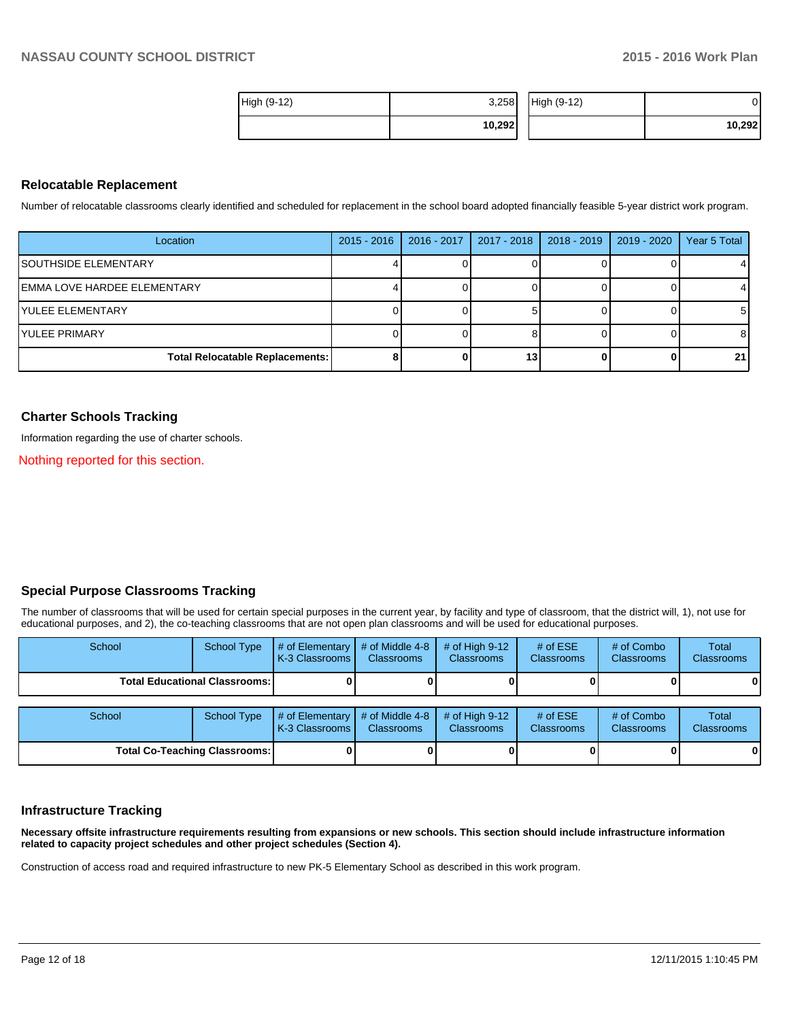| High (9-12) | 3,258  | High (9-12) |        |
|-------------|--------|-------------|--------|
|             | 10,292 |             | 10,292 |

## **Relocatable Replacement**

Number of relocatable classrooms clearly identified and scheduled for replacement in the school board adopted financially feasible 5-year district work program.

| Location                               | $2015 - 2016$ | 2016 - 2017 | 2017 - 2018   2018 - 2019 | $\vert$ 2019 - 2020 | Year 5 Total |
|----------------------------------------|---------------|-------------|---------------------------|---------------------|--------------|
| <b>ISOUTHSIDE ELEMENTARY</b>           |               |             |                           |                     |              |
| IEMMA LOVE HARDEE ELEMENTARY           |               |             |                           |                     |              |
| IYULEE ELEMENTARY                      |               |             |                           |                     | 51           |
| IYULEE PRIMARY                         |               |             |                           |                     | 8            |
| <b>Total Relocatable Replacements:</b> |               |             |                           |                     | 21           |

## **Charter Schools Tracking**

Information regarding the use of charter schools.

Nothing reported for this section.

## **Special Purpose Classrooms Tracking**

The number of classrooms that will be used for certain special purposes in the current year, by facility and type of classroom, that the district will, 1), not use for educational purposes, and 2), the co-teaching classrooms that are not open plan classrooms and will be used for educational purposes.

| School                               | <b>School Type</b> | # of Elementary<br>K-3 Classrooms   | # of Middle 4-8<br><b>Classrooms</b> | # of High $9-12$<br><b>Classrooms</b> | # of $ESE$<br><b>Classrooms</b> | # of Combo<br><b>Classrooms</b> | Total<br><b>Classrooms</b> |
|--------------------------------------|--------------------|-------------------------------------|--------------------------------------|---------------------------------------|---------------------------------|---------------------------------|----------------------------|
| <b>Total Educational Classrooms:</b> |                    |                                     |                                      |                                       |                                 |                                 | 0                          |
|                                      |                    |                                     |                                      |                                       |                                 |                                 |                            |
| School                               | <b>School Type</b> | # of Elementary<br>K-3 Classrooms I | # of Middle 4-8<br><b>Classrooms</b> | # of High $9-12$<br><b>Classrooms</b> | # of $ESE$<br><b>Classrooms</b> | # of Combo<br>Classrooms        | Total<br><b>Classrooms</b> |
| <b>Total Co-Teaching Classrooms:</b> |                    |                                     |                                      |                                       |                                 |                                 | $\mathbf{0}$               |

## **Infrastructure Tracking**

**Necessary offsite infrastructure requirements resulting from expansions or new schools. This section should include infrastructure information related to capacity project schedules and other project schedules (Section 4).**

Construction of access road and required infrastructure to new PK-5 Elementary School as described in this work program.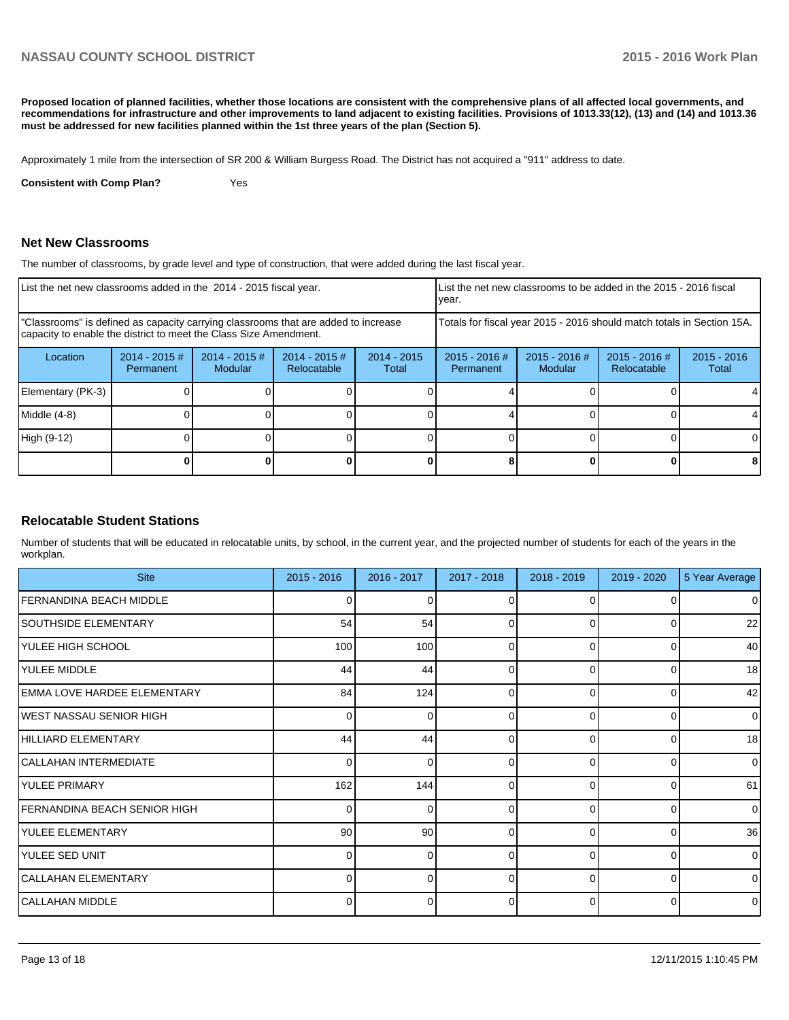**Proposed location of planned facilities, whether those locations are consistent with the comprehensive plans of all affected local governments, and recommendations for infrastructure and other improvements to land adjacent to existing facilities. Provisions of 1013.33(12), (13) and (14) and 1013.36 must be addressed for new facilities planned within the 1st three years of the plan (Section 5).**

Approximately 1 mile from the intersection of SR 200 & William Burgess Road. The District has not acquired a "911" address to date.

**Consistent with Comp Plan?** Yes

## **Net New Classrooms**

The number of classrooms, by grade level and type of construction, that were added during the last fiscal year.

| List the net new classrooms added in the 2014 - 2015 fiscal year.                                                                                       |                               |                                   |                                |                        | Ivear.                       |                                                                        | List the net new classrooms to be added in the 2015 - 2016 fiscal |                        |
|---------------------------------------------------------------------------------------------------------------------------------------------------------|-------------------------------|-----------------------------------|--------------------------------|------------------------|------------------------------|------------------------------------------------------------------------|-------------------------------------------------------------------|------------------------|
| "Classrooms" is defined as capacity carrying classrooms that are added to increase<br>capacity to enable the district to meet the Class Size Amendment. |                               |                                   |                                |                        |                              | Totals for fiscal year 2015 - 2016 should match totals in Section 15A. |                                                                   |                        |
| Location                                                                                                                                                | $2014 - 2015 \#$<br>Permanent | $2014 - 2015$ #<br><b>Modular</b> | $2014 - 2015$ #<br>Relocatable | $2014 - 2015$<br>Total | $2015 - 2016$ #<br>Permanent | $2015 - 2016$ #<br>Modular                                             | $2015 - 2016$ #<br>Relocatable                                    | $2015 - 2016$<br>Total |
| Elementary (PK-3)                                                                                                                                       |                               |                                   |                                |                        |                              |                                                                        |                                                                   |                        |
| $Middle (4-8)$                                                                                                                                          |                               |                                   |                                |                        |                              |                                                                        |                                                                   |                        |
| High (9-12)                                                                                                                                             |                               |                                   |                                |                        |                              |                                                                        |                                                                   |                        |
|                                                                                                                                                         |                               |                                   |                                |                        |                              |                                                                        |                                                                   |                        |

## **Relocatable Student Stations**

Number of students that will be educated in relocatable units, by school, in the current year, and the projected number of students for each of the years in the workplan.

| <b>Site</b>                         | $2015 - 2016$   | 2016 - 2017 | 2017 - 2018 | 2018 - 2019 | 2019 - 2020  | 5 Year Average |
|-------------------------------------|-----------------|-------------|-------------|-------------|--------------|----------------|
| <b>FERNANDINA BEACH MIDDLE</b>      | U               |             |             |             |              | $\overline{0}$ |
| SOUTHSIDE ELEMENTARY                | 54              | 54          | 0           | $\Omega$    | 0            | 22             |
| YULEE HIGH SCHOOL                   | 100             | 100         | $\Omega$    | $\Omega$    | <sup>0</sup> | 40             |
| YULEE MIDDLE                        | 44              | 44          | 0           | $\Omega$    | 0            | 18             |
| EMMA LOVE HARDEE ELEMENTARY         | 84              | 124         | $\Omega$    | U           | $\Omega$     | 42             |
| <b>IWEST NASSAU SENIOR HIGH</b>     | $\Omega$        | 0           | 0           | $\Omega$    | $\Omega$     | $\overline{0}$ |
| HILLIARD ELEMENTARY                 | 44              | 44          | $\Omega$    | $\Omega$    | $\Omega$     | 18             |
| CALLAHAN INTERMEDIATE               | $\Omega$        | 0           | 0           | $\Omega$    | $\Omega$     | $\overline{0}$ |
| YULEE PRIMARY                       | 162             | 144         | $\Omega$    | $\Omega$    | $\Omega$     | 61             |
| <b>FERNANDINA BEACH SENIOR HIGH</b> | $\Omega$        | 0           | 0           | $\Omega$    | $\Omega$     | $\overline{0}$ |
| YULEE ELEMENTARY                    | 90 <sup>°</sup> | 90          | $\Omega$    | $\Omega$    | $\Omega$     | 36             |
| YULEE SED UNIT                      | $\Omega$        | 0           | 0           | $\Omega$    | $\Omega$     | $\overline{0}$ |
| CALLAHAN ELEMENTARY                 | ∩               | U           | $\Omega$    | $\Omega$    | $\Omega$     | $\overline{0}$ |
| CALLAHAN MIDDLE                     | ΩI              | 0           | 0           | $\Omega$    | $\Omega$     | $\overline{0}$ |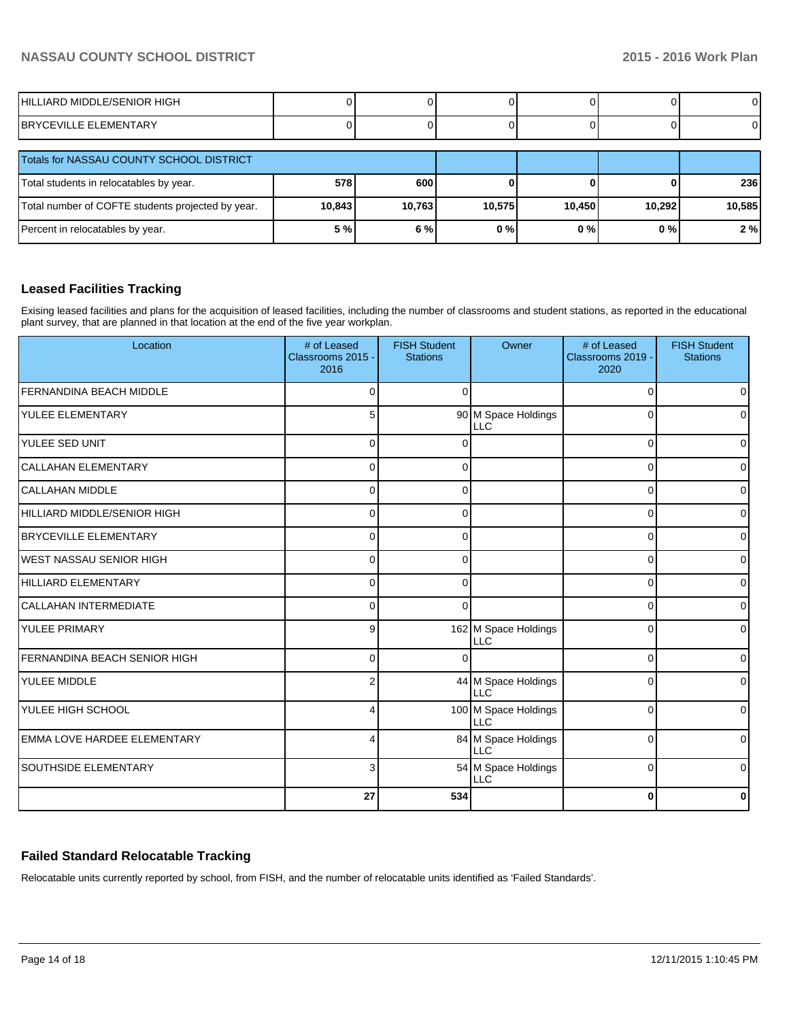| HILLIARD MIDDLE/SENIOR HIGH   |  |  |  |
|-------------------------------|--|--|--|
| <b>IBRYCEVILLE ELEMENTARY</b> |  |  |  |

| Totals for NASSAU COUNTY SCHOOL DISTRICT          |        |        |        |        |        |        |
|---------------------------------------------------|--------|--------|--------|--------|--------|--------|
| Total students in relocatables by year.           | 578    | 600    |        |        |        | 236    |
| Total number of COFTE students projected by year. | 10,843 | 10,763 | 10.575 | 10.450 | 10,292 | 10.585 |
| Percent in relocatables by year.                  | 5 %l   | 6%     | 0%     | 0 % I  | 0%     | 2%     |

## **Leased Facilities Tracking**

Exising leased facilities and plans for the acquisition of leased facilities, including the number of classrooms and student stations, as reported in the educational plant survey, that are planned in that location at the end of the five year workplan.

| Location                            | # of Leased<br>Classrooms 2015 -<br>2016 | <b>FISH Student</b><br><b>Stations</b> | Owner                              | # of Leased<br>Classrooms 2019 -<br>2020 | <b>FISH Student</b><br><b>Stations</b> |
|-------------------------------------|------------------------------------------|----------------------------------------|------------------------------------|------------------------------------------|----------------------------------------|
| <b>FERNANDINA BEACH MIDDLE</b>      | $\Omega$                                 | $\Omega$                               |                                    | $\Omega$                                 | $\Omega$                               |
| <b>YULEE ELEMENTARY</b>             | 5                                        |                                        | 90 M Space Holdings<br><b>LLC</b>  | ∩                                        | $\Omega$                               |
| <b>YULEE SED UNIT</b>               | $\Omega$                                 |                                        |                                    | $\Omega$                                 | $\Omega$                               |
| <b>CALLAHAN ELEMENTARY</b>          | $\Omega$                                 | $\Omega$                               |                                    | $\Omega$                                 | $\overline{0}$                         |
| <b>CALLAHAN MIDDLE</b>              | $\Omega$                                 | $\Omega$                               |                                    | $\Omega$                                 | $\overline{0}$                         |
| HILLIARD MIDDLE/SENIOR HIGH         | $\Omega$                                 | $\Omega$                               |                                    | $\Omega$                                 | $\overline{0}$                         |
| <b>BRYCEVILLE ELEMENTARY</b>        | $\Omega$                                 | $\Omega$                               |                                    | $\Omega$                                 | $\overline{0}$                         |
| IWEST NASSAU SENIOR HIGH            | $\Omega$                                 | O                                      |                                    | $\Omega$                                 | $\overline{0}$                         |
| HILLIARD ELEMENTARY                 | $\Omega$                                 | $\Omega$                               |                                    | $\Omega$                                 | $\overline{0}$                         |
| <b>CALLAHAN INTERMEDIATE</b>        | $\Omega$                                 | $\Omega$                               |                                    | 0                                        | $\Omega$                               |
| YULEE PRIMARY                       | 9                                        |                                        | 162 M Space Holdings<br><b>LLC</b> | $\Omega$                                 | $\overline{0}$                         |
| <b>FERNANDINA BEACH SENIOR HIGH</b> | $\Omega$                                 | $\Omega$                               |                                    | $\Omega$                                 | $\Omega$                               |
| <b>YULEE MIDDLE</b>                 | 2                                        |                                        | 44 M Space Holdings<br>$\sqcup$ C  | $\Omega$                                 | $\Omega$                               |
| YULEE HIGH SCHOOL                   | Δ                                        |                                        | 100 M Space Holdings<br><b>LLC</b> | $\Omega$                                 | $\Omega$                               |
| <b>EMMA LOVE HARDEE ELEMENTARY</b>  | Δ                                        |                                        | 84 M Space Holdings<br><b>LLC</b>  | $\Omega$                                 | $\overline{0}$                         |
| <b>SOUTHSIDE ELEMENTARY</b>         | 3                                        |                                        | 54 M Space Holdings<br><b>LLC</b>  | $\Omega$                                 | $\overline{0}$                         |
|                                     | 27                                       | 534                                    |                                    | $\bf{0}$                                 | $\mathbf{0}$                           |

## **Failed Standard Relocatable Tracking**

Relocatable units currently reported by school, from FISH, and the number of relocatable units identified as 'Failed Standards'.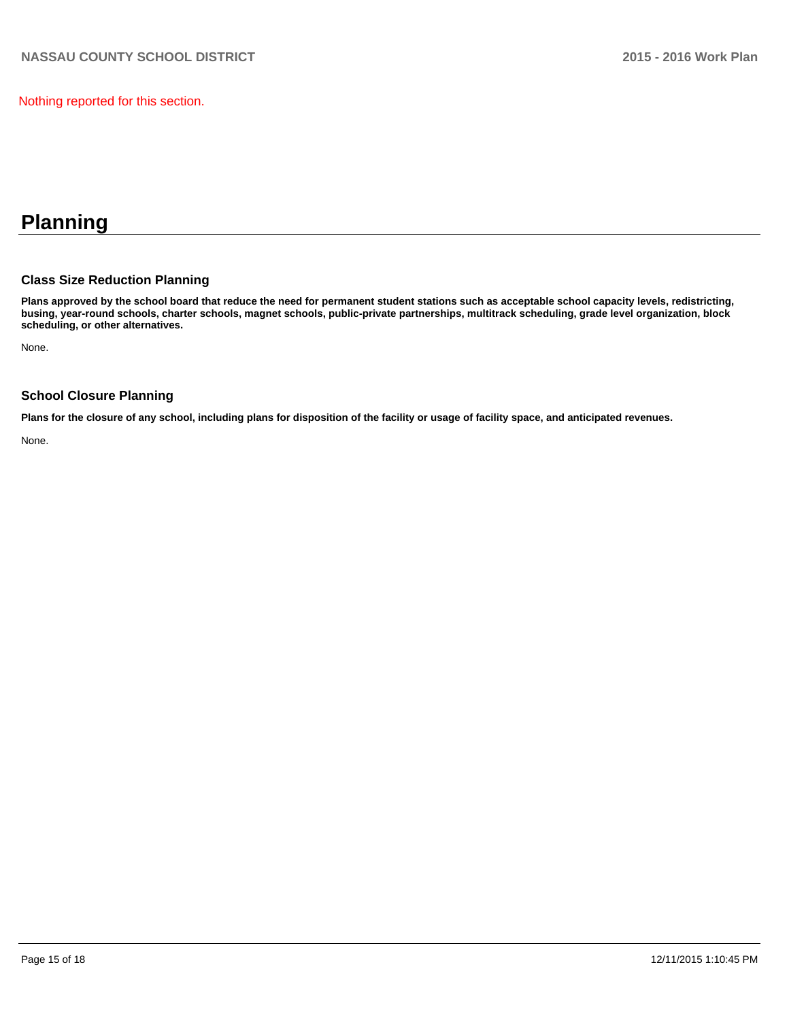Nothing reported for this section.

## **Planning**

## **Class Size Reduction Planning**

**Plans approved by the school board that reduce the need for permanent student stations such as acceptable school capacity levels, redistricting, busing, year-round schools, charter schools, magnet schools, public-private partnerships, multitrack scheduling, grade level organization, block scheduling, or other alternatives.**

None.

## **School Closure Planning**

**Plans for the closure of any school, including plans for disposition of the facility or usage of facility space, and anticipated revenues.**

None.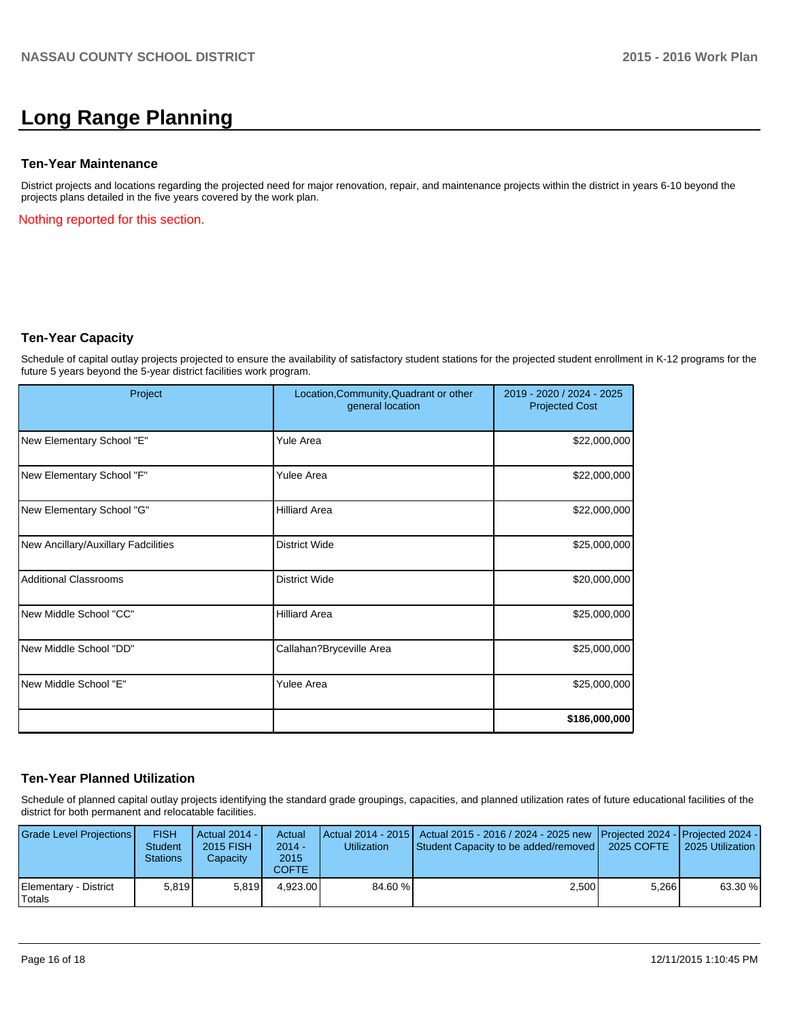## **Long Range Planning**

## **Ten-Year Maintenance**

District projects and locations regarding the projected need for major renovation, repair, and maintenance projects within the district in years 6-10 beyond the projects plans detailed in the five years covered by the work plan.

Nothing reported for this section.

## **Ten-Year Capacity**

Schedule of capital outlay projects projected to ensure the availability of satisfactory student stations for the projected student enrollment in K-12 programs for the future 5 years beyond the 5-year district facilities work program.

| Project                             | Location, Community, Quadrant or other<br>general location | 2019 - 2020 / 2024 - 2025<br><b>Projected Cost</b> |
|-------------------------------------|------------------------------------------------------------|----------------------------------------------------|
| New Elementary School "E"           | <b>Yule Area</b>                                           | \$22,000,000                                       |
| New Elementary School "F"           | <b>Yulee Area</b>                                          | \$22,000,000                                       |
| New Elementary School "G"           | <b>Hilliard Area</b>                                       | \$22,000,000                                       |
| New Ancillary/Auxillary Fadcilities | <b>District Wide</b>                                       | \$25,000,000                                       |
| <b>Additional Classrooms</b>        | <b>District Wide</b>                                       | \$20,000,000                                       |
| New Middle School "CC"              | <b>Hilliard Area</b>                                       | \$25,000,000                                       |
| New Middle School "DD"              | Callahan?Bryceville Area                                   | \$25,000,000                                       |
| New Middle School "E"               | <b>Yulee Area</b>                                          | \$25,000,000                                       |
|                                     |                                                            | \$186,000,000                                      |

## **Ten-Year Planned Utilization**

Schedule of planned capital outlay projects identifying the standard grade groupings, capacities, and planned utilization rates of future educational facilities of the district for both permanent and relocatable facilities.

| Grade Level Projections         | <b>FISH</b><br><b>Student</b><br><b>Stations</b> | Actual 2014 - I<br>2015 FISH<br>Capacity | Actual<br>$2014 -$<br>2015<br>COFTE | <b>Utilization</b> | Actual 2014 - 2015   Actual 2015 - 2016 / 2024 - 2025 new Projected 2024 - Projected 2024 -<br>Student Capacity to be added/removed | 2025 COFTE | 2025 Utilization |
|---------------------------------|--------------------------------------------------|------------------------------------------|-------------------------------------|--------------------|-------------------------------------------------------------------------------------------------------------------------------------|------------|------------------|
| Elementary - District<br>Totals | 5.819                                            | 5.819                                    | 4.923.00                            | 84.60 %            | 2,500                                                                                                                               | 5.266      | 63.30 %          |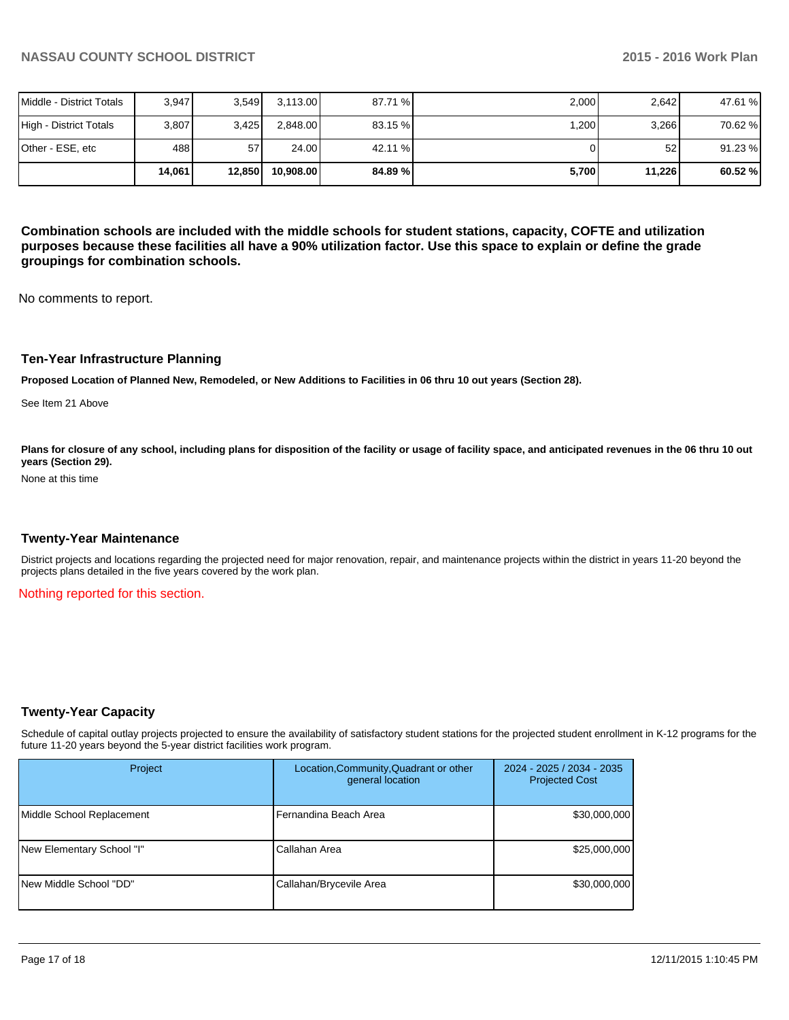|                          | 14.061 | 12,850 | 10.908.00 | 84.89 % l | 5,700 | 11,226 | 60.52%  |
|--------------------------|--------|--------|-----------|-----------|-------|--------|---------|
| Other - ESE, etc         | 488    | 57     | 24.00     | 42.11 %   |       | 52     | 91.23 % |
| High - District Totals   | 3,807  | 3,425  | 2,848.00  | 83.15%    | ,200  | 3,266  | 70.62 % |
| Middle - District Totals | 3.947  | 3.549  | 3,113.00  | 87.71 %   | 2,000 | 2.642  | 47.61 % |

**Combination schools are included with the middle schools for student stations, capacity, COFTE and utilization purposes because these facilities all have a 90% utilization factor. Use this space to explain or define the grade groupings for combination schools.**

No comments to report.

#### **Ten-Year Infrastructure Planning**

**Proposed Location of Planned New, Remodeled, or New Additions to Facilities in 06 thru 10 out years (Section 28).**

See Item 21 Above

Plans for closure of any school, including plans for disposition of the facility or usage of facility space, and anticipated revenues in the 06 thru 10 out **years (Section 29).**

None at this time

#### **Twenty-Year Maintenance**

District projects and locations regarding the projected need for major renovation, repair, and maintenance projects within the district in years 11-20 beyond the projects plans detailed in the five years covered by the work plan.

Nothing reported for this section.

## **Twenty-Year Capacity**

Schedule of capital outlay projects projected to ensure the availability of satisfactory student stations for the projected student enrollment in K-12 programs for the future 11-20 years beyond the 5-year district facilities work program.

| Project                   | Location, Community, Quadrant or other<br>general location | 2024 - 2025 / 2034 - 2035<br><b>Projected Cost</b> |  |
|---------------------------|------------------------------------------------------------|----------------------------------------------------|--|
| Middle School Replacement | l Fernandina Beach Area                                    | \$30,000,000                                       |  |
| New Elementary School "I" | Callahan Area                                              | \$25,000,000                                       |  |
| New Middle School "DD"    | Callahan/Brycevile Area                                    | \$30,000,000                                       |  |